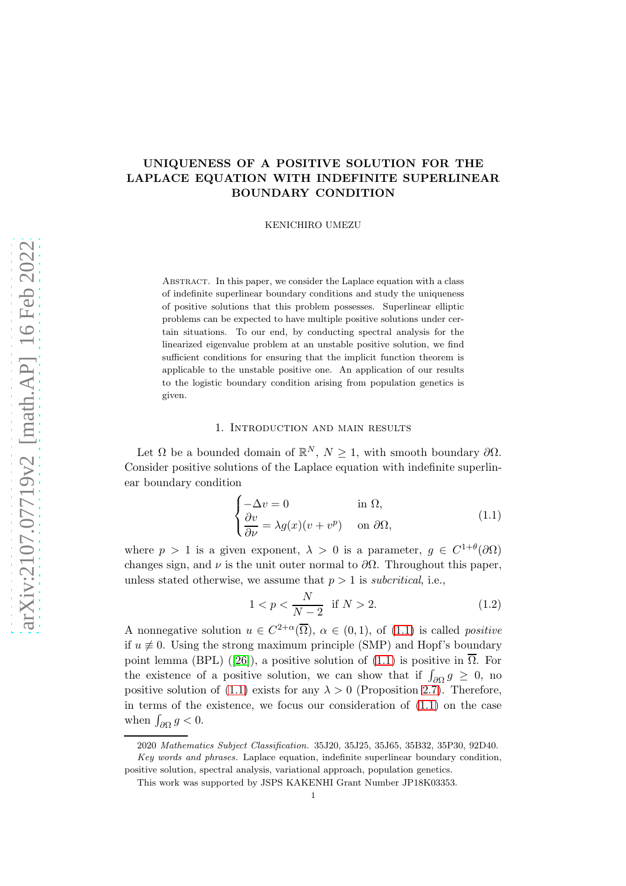# UNIQUENESS OF A POSITIVE SOLUTION FOR THE LAPLACE EQUATION WITH INDEFINITE SUPERLINEAR BOUNDARY CONDITION

KENICHIRO UMEZU

ABSTRACT. In this paper, we consider the Laplace equation with a class of indefinite superlinear boundary conditions and study the uniqueness of positive solutions that this problem possesses. Superlinear elliptic problems can be expected to have multiple positive solutions under certain situations. To our end, by conducting spectral analysis for the linearized eigenvalue problem at an unstable positive solution, we find sufficient conditions for ensuring that the implicit function theorem is applicable to the unstable positive one. An application of our results to the logistic boundary condition arising from population genetics is given.

#### 1. Introduction and main results

Let  $\Omega$  be a bounded domain of  $\mathbb{R}^N$ ,  $N \geq 1$ , with smooth boundary  $\partial \Omega$ . Consider positive solutions of the Laplace equation with indefinite superlinear boundary condition

<span id="page-0-0"></span>
$$
\begin{cases}\n-\Delta v = 0 & \text{in } \Omega, \\
\frac{\partial v}{\partial \nu} = \lambda g(x)(v + v^p) & \text{on } \partial \Omega,\n\end{cases}
$$
\n(1.1)

where  $p > 1$  is a given exponent,  $\lambda > 0$  is a parameter,  $g \in C^{1+\theta}(\partial\Omega)$ changes sign, and  $\nu$  is the unit outer normal to  $\partial\Omega$ . Throughout this paper, unless stated otherwise, we assume that  $p > 1$  is *subcritical*, i.e.,

<span id="page-0-1"></span>
$$
1 < p < \frac{N}{N-2} \quad \text{if } N > 2. \tag{1.2}
$$

A nonnegative solution  $u \in C^{2+\alpha}(\overline{\Omega})$ ,  $\alpha \in (0,1)$ , of  $(1.1)$  is called *positive* if  $u \neq 0$ . Using the strong maximum principle (SMP) and Hopf's boundary pointlemma (BPL) ([\[26\]](#page-26-0)), a positive solution of  $(1.1)$  is positive in  $\Omega$ . For the existence of a positive solution, we can show that if  $\int_{\partial\Omega} g \geq 0$ , no positive solution of [\(1.1\)](#page-0-0) exists for any  $\lambda > 0$  (Proposition [2.7\)](#page-8-0). Therefore, in terms of the existence, we focus our consideration of [\(1.1\)](#page-0-0) on the case when  $\int_{\partial\Omega} g < 0$ .

<sup>2020</sup> Mathematics Subject Classification. 35J20, 35J25, 35J65, 35B32, 35P30, 92D40. Key words and phrases. Laplace equation, indefinite superlinear boundary condition, positive solution, spectral analysis, variational approach, population genetics.

This work was supported by JSPS KAKENHI Grant Number JP18K03353.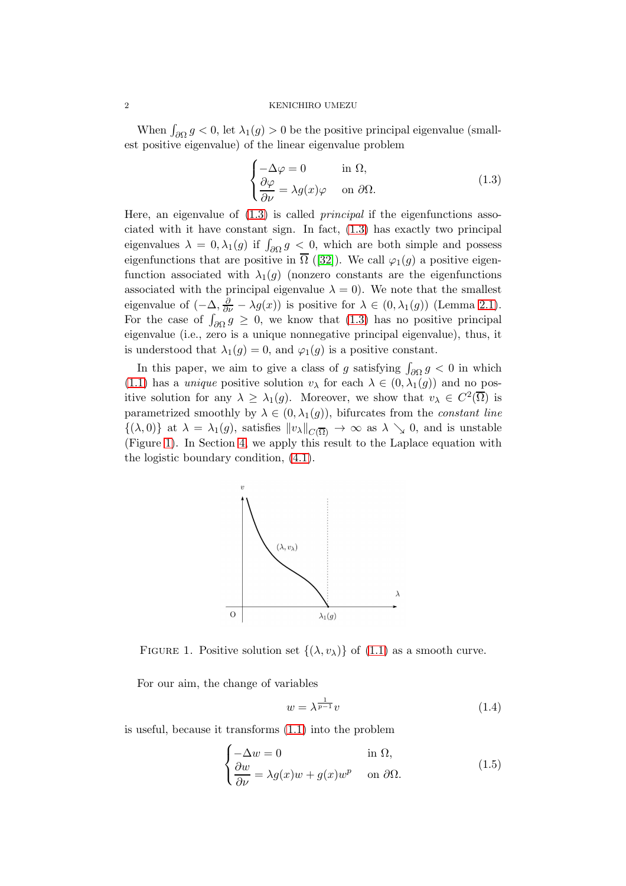When  $\int_{\partial\Omega} g < 0$ , let  $\lambda_1(g) > 0$  be the positive principal eigenvalue (smallest positive eigenvalue) of the linear eigenvalue problem

<span id="page-1-0"></span>
$$
\begin{cases}\n-\Delta \varphi = 0 & \text{in } \Omega, \\
\frac{\partial \varphi}{\partial \nu} = \lambda g(x) \varphi & \text{on } \partial \Omega.\n\end{cases}
$$
\n(1.3)

Here, an eigenvalue of  $(1.3)$  is called *principal* if the eigenfunctions associated with it have constant sign. In fact, [\(1.3\)](#page-1-0) has exactly two principal eigenvalues  $\lambda = 0, \lambda_1(g)$  if  $\int_{\partial \Omega} g \leq 0$ , which are both simple and possess eigenfunctionsthat are positive in  $\overline{\Omega}$  ([\[32\]](#page-26-1)). We call  $\varphi_1(g)$  a positive eigenfunction associated with  $\lambda_1(g)$  (nonzero constants are the eigenfunctions associated with the principal eigenvalue  $\lambda = 0$ ). We note that the smallest eigenvalue of  $(-\Delta, \frac{\partial}{\partial \nu} - \lambda g(x))$  is positive for  $\lambda \in (0, \lambda_1(g))$  (Lemma [2.1\)](#page-5-0). For the case of  $\int_{\partial\Omega} g \geq 0$ , we know that [\(1.3\)](#page-1-0) has no positive principal eigenvalue (i.e., zero is a unique nonnegative principal eigenvalue), thus, it is understood that  $\lambda_1(g) = 0$ , and  $\varphi_1(g)$  is a positive constant.

In this paper, we aim to give a class of g satisfying  $\int_{\partial\Omega} g < 0$  in which [\(1.1\)](#page-0-0) has a *unique* positive solution  $v_{\lambda}$  for each  $\lambda \in (0, \lambda_1(g))$  and no positive solution for any  $\lambda \geq \lambda_1(g)$ . Moreover, we show that  $v_\lambda \in C^2(\overline{\Omega})$  is parametrized smoothly by  $\lambda \in (0, \lambda_1(g))$ , bifurcates from the *constant line*  $\{(\lambda,0)\}\$ at  $\lambda = \lambda_1(g)$ , satisfies  $||v_\lambda||_{C(\overline{\Omega})} \to \infty$  as  $\lambda \searrow 0$ , and is unstable (Figure [1\)](#page-1-1). In Section [4,](#page-17-0) we apply this result to the Laplace equation with the logistic boundary condition, [\(4.1\)](#page-17-1).



<span id="page-1-1"></span>FIGURE 1. Positive solution set  $\{(\lambda, v_\lambda)\}\$  of [\(1.1\)](#page-0-0) as a smooth curve.

For our aim, the change of variables

<span id="page-1-3"></span><span id="page-1-2"></span>
$$
w = \lambda^{\frac{1}{p-1}} v \tag{1.4}
$$

is useful, because it transforms [\(1.1\)](#page-0-0) into the problem

$$
\begin{cases}\n-\Delta w = 0 & \text{in } \Omega, \\
\frac{\partial w}{\partial \nu} = \lambda g(x)w + g(x)w^p & \text{on } \partial \Omega.\n\end{cases}
$$
\n(1.5)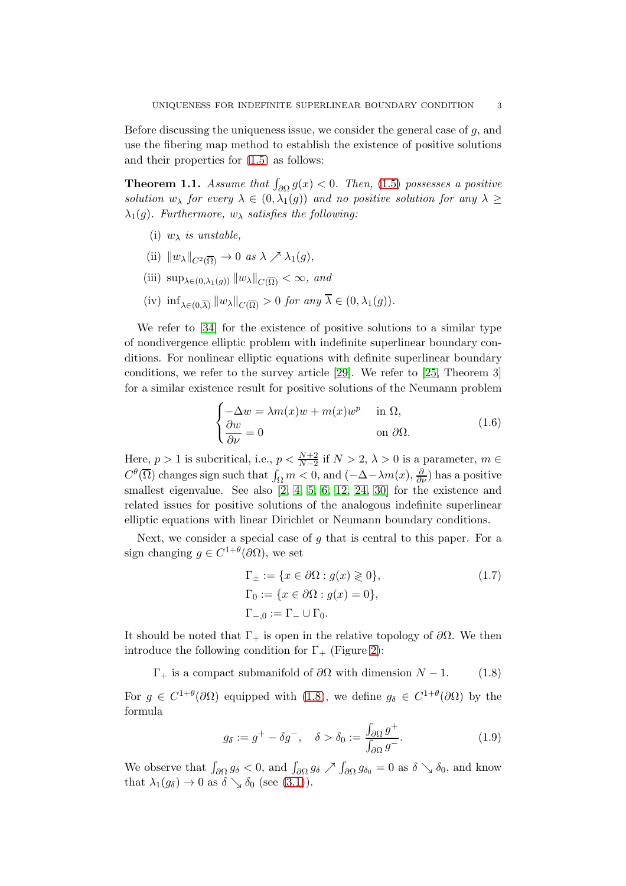Before discussing the uniqueness issue, we consider the general case of  $g$ , and use the fibering map method to establish the existence of positive solutions and their properties for [\(1.5\)](#page-1-2) as follows:

<span id="page-2-3"></span>**Theorem 1.1.** Assume that  $\int_{\partial\Omega} g(x) < 0$ . Then, [\(1.5\)](#page-1-2) possesses a positive solution  $w_{\lambda}$  for every  $\lambda \in (0, \lambda_1(g))$  and no positive solution for any  $\lambda \geq$  $\lambda_1(g)$ . Furthermore,  $w_\lambda$  satisfies the following:

- (i)  $w_{\lambda}$  is unstable,
- (ii)  $\|w_\lambda\|_{C^2(\overline{\Omega})} \to 0$  as  $\lambda \nearrow \lambda_1(g)$ ,
- (iii)  $\sup_{\lambda \in (0,\lambda_1(q))} ||w_\lambda||_{C(\overline{\Omega})} < \infty$ , and
- (iv)  $\inf_{\lambda \in (0,\overline{\lambda})} ||w_{\lambda}||_{C(\overline{\Omega})} > 0$  for any  $\lambda \in (0,\lambda_1(g)).$

We refer to [\[34\]](#page-26-2) for the existence of positive solutions to a similar type of nondivergence elliptic problem with indefinite superlinear boundary conditions. For nonlinear elliptic equations with definite superlinear boundary conditions, we refer to the survey article [\[29\]](#page-26-3). We refer to [\[25,](#page-26-4) Theorem 3] for a similar existence result for positive solutions of the Neumann problem

<span id="page-2-2"></span>
$$
\begin{cases}\n-\Delta w = \lambda m(x)w + m(x)w^p & \text{in } \Omega, \\
\frac{\partial w}{\partial \nu} = 0 & \text{on } \partial \Omega.\n\end{cases}
$$
\n(1.6)

Here,  $p > 1$  is subcritical, i.e.,  $p < \frac{N+2}{N-2}$  if  $N > 2$ ,  $\lambda > 0$  is a parameter,  $m \in$  $C^{\theta}(\overline{\Omega})$  changes sign such that  $\int_{\Omega} m < 0$ , and  $(-\Delta - \lambda m(x), \frac{\partial}{\partial \nu})$  has a positive smallest eigenvalue. See also [\[2,](#page-25-0) [4,](#page-25-1) [5,](#page-25-2) [6,](#page-25-3) [12,](#page-25-4) [24,](#page-26-5) [30\]](#page-26-6) for the existence and related issues for positive solutions of the analogous indefinite superlinear elliptic equations with linear Dirichlet or Neumann boundary conditions.

Next, we consider a special case of  $q$  that is central to this paper. For a sign changing  $g \in C^{1+\theta}(\partial\Omega)$ , we set

<span id="page-2-4"></span><span id="page-2-0"></span>
$$
\Gamma_{\pm} := \{ x \in \partial \Omega : g(x) \geq 0 \},
$$
  
\n
$$
\Gamma_0 := \{ x \in \partial \Omega : g(x) = 0 \},
$$
  
\n
$$
\Gamma_{-,0} := \Gamma_{-} \cup \Gamma_0.
$$
\n(1.7)

It should be noted that  $\Gamma_+$  is open in the relative topology of  $\partial\Omega$ . We then introduce the following condition for  $\Gamma_+$  (Figure [2\)](#page-3-0):

 $\Gamma_+$  is a compact submanifold of  $\partial\Omega$  with dimension  $N-1$ . (1.8)

For  $g \in C^{1+\theta}(\partial\Omega)$  equipped with [\(1.8\)](#page-2-0), we define  $g_{\delta} \in C^{1+\theta}(\partial\Omega)$  by the formula

<span id="page-2-1"></span>
$$
g_{\delta} := g^{+} - \delta g^{-}, \quad \delta > \delta_0 := \frac{\int_{\partial \Omega} g^{+}}{\int_{\partial \Omega} g^{-}}.
$$
 (1.9)

We observe that  $\int_{\partial\Omega} g_\delta < 0$ , and  $\int_{\partial\Omega} g_\delta \nearrow \int_{\partial\Omega} g_{\delta_0} = 0$  as  $\delta \searrow \delta_0$ , and know that  $\lambda_1(g_\delta) \to 0$  as  $\delta \searrow \delta_0$  (see [\(3.1\)](#page-12-0)).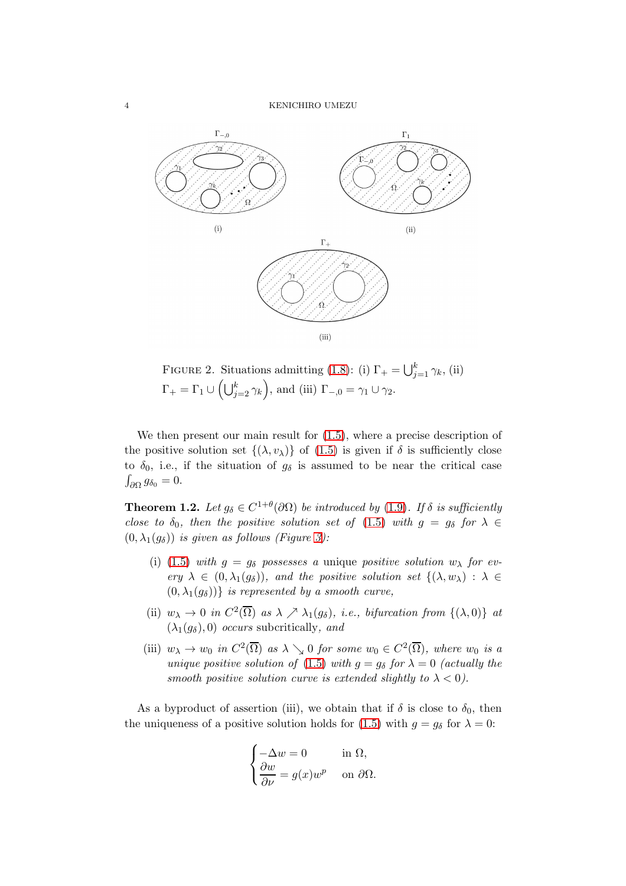

<span id="page-3-0"></span>FIGURE 2. Situations admitting [\(1.8\)](#page-2-0): (i)  $\Gamma_+ = \bigcup_{j=1}^k \gamma_k$ , (ii)  $\Gamma_+ = \Gamma_1 \cup \left( \bigcup_{j=2}^k \gamma_k \right)$ , and (iii)  $\Gamma_{-,0} = \gamma_1 \cup \gamma_2$ .

We then present our main result for [\(1.5\)](#page-1-2), where a precise description of the positive solution set  $\{(\lambda, v_{\lambda})\}$  of  $(1.5)$  is given if  $\delta$  is sufficiently close to  $\delta_0$ , i.e., if the situation of  $g_\delta$  is assumed to be near the critical case  $\int_{\partial\Omega} g_{\delta_0} = 0.$ 

<span id="page-3-1"></span>**Theorem 1.2.** Let  $g_{\delta} \in C^{1+\theta}(\partial \Omega)$  be introduced by [\(1.9\)](#page-2-1). If  $\delta$  is sufficiently close to  $\delta_0$ , then the positive solution set of [\(1.5\)](#page-1-2) with  $g = g_\delta$  for  $\lambda \in$  $(0, \lambda_1(g_\delta))$  is given as follows (Figure [3\)](#page-4-0):

- (i) [\(1.5\)](#page-1-2) with  $g = g_\delta$  possesses a unique positive solution  $w_\lambda$  for every  $\lambda \in (0, \lambda_1(g_\delta))$ , and the positive solution set  $\{(\lambda, w_\lambda) : \lambda \in$  $(0, \lambda_1(g_\delta))$  is represented by a smooth curve,
- (ii)  $w_{\lambda} \to 0$  in  $C^2(\overline{\Omega})$  as  $\lambda \nearrow \lambda_1(g_{\delta}),$  i.e., bifurcation from  $\{(\lambda, 0)\}\$ at  $(\lambda_1(q_\delta), 0)$  occurs subcritically, and
- (iii)  $w_{\lambda} \to w_0$  in  $C^2(\overline{\Omega})$  as  $\lambda \searrow 0$  for some  $w_0 \in C^2(\overline{\Omega})$ , where  $w_0$  is a unique positive solution of [\(1.5\)](#page-1-2) with  $g = g_\delta$  for  $\lambda = 0$  (actually the smooth positive solution curve is extended slightly to  $\lambda < 0$ ).

As a byproduct of assertion (iii), we obtain that if  $\delta$  is close to  $\delta_0$ , then the uniqueness of a positive solution holds for [\(1.5\)](#page-1-2) with  $g = g_\delta$  for  $\lambda = 0$ :

$$
\begin{cases}\n-\Delta w = 0 & \text{in } \Omega, \\
\frac{\partial w}{\partial \nu} = g(x)w^p & \text{on } \partial \Omega.\n\end{cases}
$$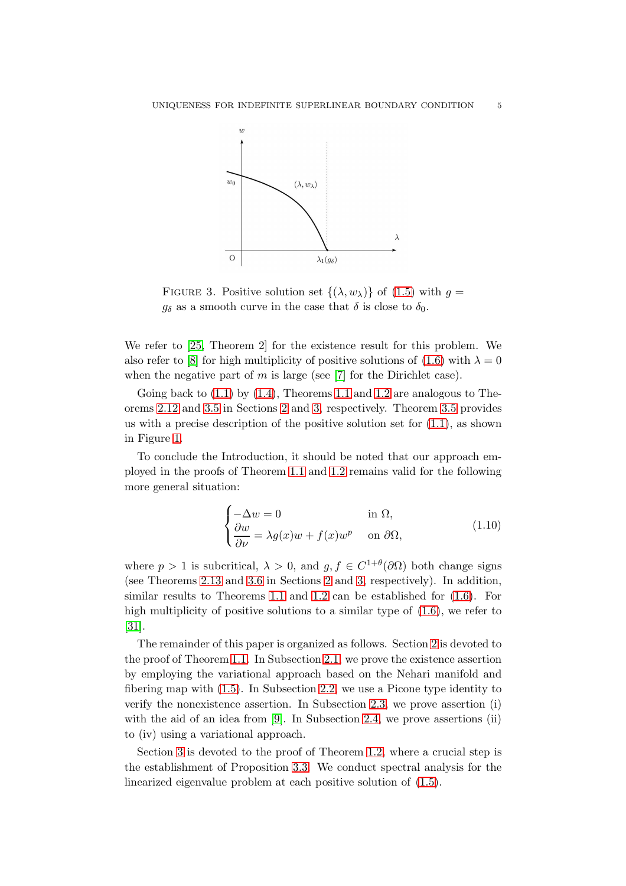

<span id="page-4-0"></span>FIGURE 3. Positive solution set  $\{(\lambda, w_{\lambda})\}$  of [\(1.5\)](#page-1-2) with  $g =$  $g_{\delta}$  as a smooth curve in the case that  $\delta$  is close to  $\delta_0$ .

We refer to [\[25,](#page-26-4) Theorem 2] for the existence result for this problem. We also refer to [\[8\]](#page-25-5) for high multiplicity of positive solutions of [\(1.6\)](#page-2-2) with  $\lambda = 0$ when the negative part of  $m$  is large (see [\[7\]](#page-25-6) for the Dirichlet case).

Going back to  $(1.1)$  by  $(1.4)$ , Theorems [1.1](#page-2-3) and [1.2](#page-3-1) are analogous to Theorems [2.12](#page-11-0) and [3.5](#page-16-0) in Sections [2](#page-5-1) and [3,](#page-12-1) respectively. Theorem [3.5](#page-16-0) provides us with a precise description of the positive solution set for  $(1.1)$ , as shown in Figure [1.](#page-1-1)

To conclude the Introduction, it should be noted that our approach employed in the proofs of Theorem [1.1](#page-2-3) and [1.2](#page-3-1) remains valid for the following more general situation:

<span id="page-4-1"></span>
$$
\begin{cases}\n-\Delta w = 0 & \text{in } \Omega, \\
\frac{\partial w}{\partial \nu} = \lambda g(x)w + f(x)w^p & \text{on } \partial \Omega,\n\end{cases}
$$
\n(1.10)

where  $p > 1$  is subcritical,  $\lambda > 0$ , and  $g, f \in C^{1+\theta}(\partial\Omega)$  both change signs (see Theorems [2.13](#page-12-2) and [3.6](#page-16-1) in Sections [2](#page-5-1) and [3,](#page-12-1) respectively). In addition, similar results to Theorems [1.1](#page-2-3) and [1.2](#page-3-1) can be established for [\(1.6\)](#page-2-2). For high multiplicity of positive solutions to a similar type of  $(1.6)$ , we refer to [\[31\]](#page-26-7).

The remainder of this paper is organized as follows. Section [2](#page-5-1) is devoted to the proof of Theorem [1.1.](#page-2-3) In Subsection [2.1,](#page-5-2) we prove the existence assertion by employing the variational approach based on the Nehari manifold and fibering map with [\(1.5\)](#page-1-2). In Subsection [2.2,](#page-7-0) we use a Picone type identity to verify the nonexistence assertion. In Subsection [2.3,](#page-9-0) we prove assertion (i) with the aid of an idea from [\[9\]](#page-25-7). In Subsection [2.4,](#page-9-1) we prove assertions (ii) to (iv) using a variational approach.

Section [3](#page-12-1) is devoted to the proof of Theorem [1.2,](#page-3-1) where a crucial step is the establishment of Proposition [3.3.](#page-15-0) We conduct spectral analysis for the linearized eigenvalue problem at each positive solution of [\(1.5\)](#page-1-2).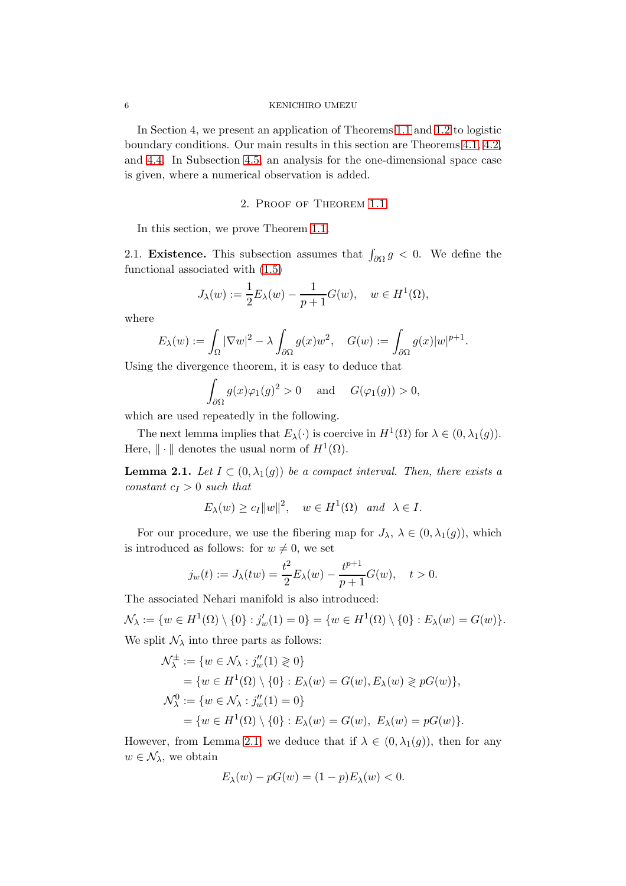In Section 4, we present an application of Theorems [1.1](#page-2-3) and [1.2](#page-3-1) to logistic boundary conditions. Our main results in this section are Theorems [4.1,](#page-20-0) [4.2,](#page-20-1) and [4.4.](#page-21-0) In Subsection [4.5,](#page-23-0) an analysis for the one-dimensional space case is given, where a numerical observation is added.

## 2. Proof of Theorem [1.1](#page-2-3)

<span id="page-5-2"></span><span id="page-5-1"></span>In this section, we prove Theorem [1.1.](#page-2-3)

2.1. **Existence.** This subsection assumes that  $\int_{\partial\Omega} g \, \langle 0 \rangle$ . We define the functional associated with [\(1.5\)](#page-1-2)

$$
J_{\lambda}(w) := \frac{1}{2} E_{\lambda}(w) - \frac{1}{p+1} G(w), \quad w \in H^{1}(\Omega),
$$

where

$$
E_{\lambda}(w) := \int_{\Omega} |\nabla w|^2 - \lambda \int_{\partial \Omega} g(x) w^2, \quad G(w) := \int_{\partial \Omega} g(x) |w|^{p+1}.
$$

Using the divergence theorem, it is easy to deduce that

$$
\int_{\partial\Omega} g(x)\varphi_1(g)^2 > 0 \quad \text{and} \quad G(\varphi_1(g)) > 0,
$$

which are used repeatedly in the following.

The next lemma implies that  $E_{\lambda}(\cdot)$  is coercive in  $H^{1}(\Omega)$  for  $\lambda \in (0, \lambda_{1}(g)).$ Here,  $\|\cdot\|$  denotes the usual norm of  $H^1(\Omega)$ .

<span id="page-5-0"></span>**Lemma 2.1.** Let  $I \subset (0, \lambda_1(g))$  be a compact interval. Then, there exists a constant  $c_I > 0$  such that

$$
E_{\lambda}(w) \ge c_I ||w||^2
$$
,  $w \in H^1(\Omega)$  and  $\lambda \in I$ .

For our procedure, we use the fibering map for  $J_{\lambda}$ ,  $\lambda \in (0, \lambda_1(g))$ , which is introduced as follows: for  $w \neq 0$ , we set

$$
j_w(t) := J_\lambda(tw) = \frac{t^2}{2} E_\lambda(w) - \frac{t^{p+1}}{p+1} G(w), \quad t > 0.
$$

The associated Nehari manifold is also introduced:

$$
\mathcal{N}_{\lambda} := \{ w \in H^1(\Omega) \setminus \{0\} : j'_{w}(1) = 0 \} = \{ w \in H^1(\Omega) \setminus \{0\} : E_{\lambda}(w) = G(w) \}.
$$
  
We split  $\mathcal{N}_{\lambda}$  into three parts as follows:

 ${\cal N}^\pm_\lambda$  $\mathcal{L}^{\pm}_{\lambda} := \{ w \in \mathcal{N}_{\lambda} : j''_w(1) \geq 0 \}$ 

$$
\mathcal{N}_{\lambda} \cdot \{ \omega \in \mathcal{N}_{\lambda} : y_{w}(\omega) \leq 0 \}
$$
\n
$$
= \{ w \in H^{1}(\Omega) \setminus \{0\} : E_{\lambda}(w) = G(w), E_{\lambda}(w) \geq pG(w) \},
$$
\n
$$
\mathcal{N}_{\lambda}^{0} := \{ w \in \mathcal{N}_{\lambda} : j_{w}''(1) = 0 \}
$$
\n
$$
= \{ w \in H^{1}(\Omega) \setminus \{0\} : E_{\lambda}(w) = G(w), E_{\lambda}(w) = pG(w) \}.
$$

However, from Lemma [2.1,](#page-5-0) we deduce that if  $\lambda \in (0, \lambda_1(g))$ , then for any  $w \in \mathcal{N}_{\lambda}$ , we obtain

$$
E_{\lambda}(w) - pG(w) = (1 - p)E_{\lambda}(w) < 0.
$$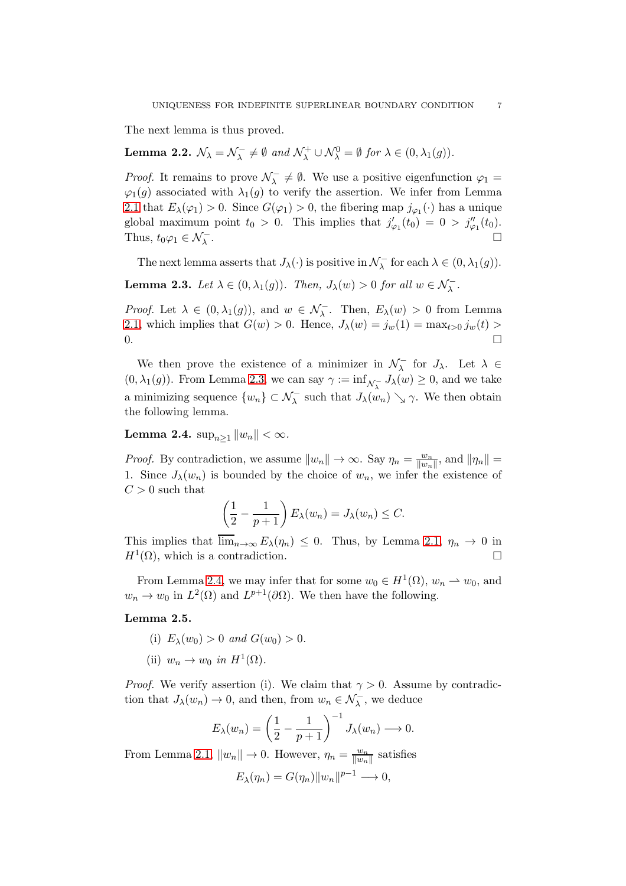The next lemma is thus proved.

#### Lemma 2.2.  $\mathcal{N}_{\lambda} = \mathcal{N}_{\lambda}^{-}$  $\mathcal{L}_{\lambda}^- \neq \emptyset$  and  $\mathcal{N}_{\lambda}^+ \cup \mathcal{N}_{\lambda}^0 = \emptyset$  for  $\lambda \in (0, \lambda_1(g)).$

*Proof.* It remains to prove  $\mathcal{N}_{\lambda}^{-}$  $\overline{\lambda} \neq \emptyset$ . We use a positive eigenfunction  $\varphi_1 =$  $\varphi_1(g)$  associated with  $\lambda_1(g)$  to verify the assertion. We infer from Lemma [2.1](#page-5-0) that  $E_{\lambda}(\varphi_1) > 0$ . Since  $G(\varphi_1) > 0$ , the fibering map  $j_{\varphi_1}(\cdot)$  has a unique global maximum point  $t_0 > 0$ . This implies that  $j'_{\varphi_1}(t_0) = 0 > j''_{\varphi_1}(t_0)$ . Thus,  $t_0\varphi_1 \in \mathcal{N}^-_{\lambda}$ . В последните последните последните последните последните последните последните последните последните последн<br>В последните последните последните последните последните последните последните последните последните последнит

The next lemma asserts that  $J_{\lambda}(\cdot)$  is positive in  $\mathcal{N}_{\lambda}^{-}$  for each  $\lambda \in (0, \lambda_1(g))$ .

<span id="page-6-0"></span>**Lemma 2.3.** Let  $\lambda \in (0, \lambda_1(g))$ . Then,  $J_{\lambda}(w) > 0$  for all  $w \in \mathcal{N}_{\lambda}^{-}$ .

*Proof.* Let  $\lambda \in (0, \lambda_1(g))$ , and  $w \in \mathcal{N}_{\lambda}$ . Then,  $E_{\lambda}(w) > 0$  from Lemma [2.1,](#page-5-0) which implies that  $G(w) > 0$ . Hence,  $J_{\lambda}(w) = j_w(1) = \max_{t>0} j_w(t) >$  $0.$ 

We then prove the existence of a minimizer in  $\mathcal{N}_{\lambda}^-$  for  $J_{\lambda}$ . Let  $\lambda \in$  $(0, \lambda_1(g))$ . From Lemma [2.3,](#page-6-0) we can say  $\gamma := \inf_{\mathcal{N}_{\lambda}} J_{\lambda}(w) \geq 0$ , and we take a minimizing sequence  $\{w_n\} \subset \mathcal{N}_{\lambda}^-$  such that  $J_{\lambda}(w_n) \searrow \gamma$ . We then obtain the following lemma.

<span id="page-6-1"></span>Lemma 2.4.  $\sup_{n>1} ||w_n|| < \infty$ .

*Proof.* By contradiction, we assume  $||w_n|| \to \infty$ . Say  $\eta_n = \frac{w_n}{||w_n||}$  $\frac{w_n}{\|w_n\|}$ , and  $\|\eta_n\| =$ 1. Since  $J_{\lambda}(w_n)$  is bounded by the choice of  $w_n$ , we infer the existence of  $C > 0$  such that

$$
\left(\frac{1}{2} - \frac{1}{p+1}\right) E_{\lambda}(w_n) = J_{\lambda}(w_n) \leq C.
$$

This implies that  $\overline{\lim}_{n\to\infty} E_{\lambda}(\eta_n) \leq 0$ . Thus, by Lemma [2.1,](#page-5-0)  $\eta_n \to 0$  in  $H^1(\Omega)$ , which is a contradiction.

From Lemma [2.4,](#page-6-1) we may infer that for some  $w_0 \in H^1(\Omega)$ ,  $w_n \to w_0$ , and  $w_n \to w_0$  in  $L^2(\Omega)$  and  $L^{p+1}(\partial \Omega)$ . We then have the following.

## <span id="page-6-2"></span>Lemma 2.5.

- (i)  $E_{\lambda}(w_0) > 0$  and  $G(w_0) > 0$ .
- (ii)  $w_n \to w_0$  in  $H^1(\Omega)$ .

*Proof.* We verify assertion (i). We claim that  $\gamma > 0$ . Assume by contradiction that  $J_{\lambda}(w_n) \to 0$ , and then, from  $w_n \in \mathcal{N}_{\lambda}^-$ , we deduce

$$
E_{\lambda}(w_n) = \left(\frac{1}{2} - \frac{1}{p+1}\right)^{-1} J_{\lambda}(w_n) \longrightarrow 0.
$$

From Lemma [2.1,](#page-5-0)  $||w_n|| \to 0$ . However,  $\eta_n = \frac{w_n}{||w_n||}$  $\frac{w_n}{\|w_n\|}$  satisfies

$$
E_{\lambda}(\eta_n) = G(\eta_n) \|w_n\|^{p-1} \longrightarrow 0,
$$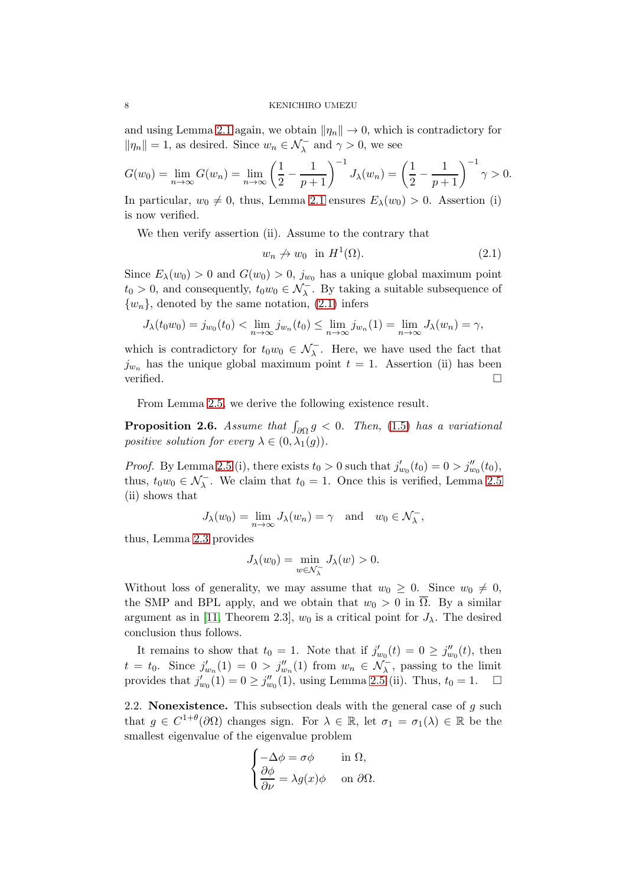and using Lemma [2.1](#page-5-0) again, we obtain  $\|\eta_n\| \to 0$ , which is contradictory for  $\|\eta_n\|=1$ , as desired. Since  $w_n \in \mathcal{N}_\lambda^-$  and  $\gamma > 0$ , we see

$$
G(w_0) = \lim_{n \to \infty} G(w_n) = \lim_{n \to \infty} \left(\frac{1}{2} - \frac{1}{p+1}\right)^{-1} J_\lambda(w_n) = \left(\frac{1}{2} - \frac{1}{p+1}\right)^{-1} \gamma > 0.
$$

In particular,  $w_0 \neq 0$ , thus, Lemma [2.1](#page-5-0) ensures  $E_{\lambda}(w_0) > 0$ . Assertion (i) is now verified.

We then verify assertion (ii). Assume to the contrary that

<span id="page-7-1"></span>
$$
w_n \nrightarrow w_0 \quad \text{in } H^1(\Omega). \tag{2.1}
$$

Since  $E_{\lambda}(w_0) > 0$  and  $G(w_0) > 0$ ,  $j_{w_0}$  has a unique global maximum point  $t_0 > 0$ , and consequently,  $t_0 w_0 \in \mathcal{N}_\lambda^-$ . By taking a suitable subsequence of  $\{w_n\}$ , denoted by the same notation, [\(2.1\)](#page-7-1) infers

$$
J_{\lambda}(t_0w_0)=j_{w_0}(t_0)<\lim_{n\to\infty}j_{w_n}(t_0)\leq \lim_{n\to\infty}j_{w_n}(1)=\lim_{n\to\infty}J_{\lambda}(w_n)=\gamma,
$$

which is contradictory for  $t_0w_0 \in \mathcal{N}_{\lambda}^-$ . Here, we have used the fact that  $j_{w_n}$  has the unique global maximum point  $t = 1$ . Assertion (ii) has been verified.  $\Box$ 

From Lemma [2.5,](#page-6-2) we derive the following existence result.

<span id="page-7-2"></span>**Proposition 2.6.** Assume that  $\int_{\partial \Omega} g \, \langle 0 \rangle$ . Then, [\(1.5\)](#page-1-2) has a variational positive solution for every  $\lambda \in (0, \lambda_1(g))$ .

*Proof.* By Lemma [2.5](#page-6-2) (i), there exists  $t_0 > 0$  such that  $j'_{w_0}(t_0) = 0 > j''_{w_0}(t_0)$ , thus,  $t_0w_0 \in \mathcal{N}_\lambda^-$ . We claim that  $t_0 = 1$ . Once this is verified, Lemma [2.5](#page-6-2) (ii) shows that

$$
J_{\lambda}(w_0) = \lim_{n \to \infty} J_{\lambda}(w_n) = \gamma \text{ and } w_0 \in \mathcal{N}_{\lambda}^-,
$$

thus, Lemma [2.3](#page-6-0) provides

$$
J_{\lambda}(w_0)=\min_{w\in\mathcal{N}_{\lambda}^-}J_{\lambda}(w)>0.
$$

Without loss of generality, we may assume that  $w_0 \geq 0$ . Since  $w_0 \neq 0$ , the SMP and BPL apply, and we obtain that  $w_0 > 0$  in  $\overline{\Omega}$ . By a similar argument as in [\[11,](#page-25-8) Theorem 2.3],  $w_0$  is a critical point for  $J_\lambda$ . The desired conclusion thus follows.

It remains to show that  $t_0 = 1$ . Note that if  $j'_{w_0}(t) = 0 \ge j''_{w_0}(t)$ , then  $t = t_0$ . Since  $j'_{w_n}(1) = 0 > j''_{w_n}(1)$  from  $w_n \in \mathcal{N}_\lambda^-$ , passing to the limit provides that  $j'_{w_0}(1) = 0 \ge j''_{w_0}(1)$ , using Lemma [2.5](#page-6-2) (ii). Thus,  $t_0 = 1$ .  $\Box$ 

<span id="page-7-0"></span>2.2. Nonexistence. This subsection deals with the general case of  $g$  such that  $g \in C^{1+\theta}(\partial\Omega)$  changes sign. For  $\lambda \in \mathbb{R}$ , let  $\sigma_1 = \sigma_1(\lambda) \in \mathbb{R}$  be the smallest eigenvalue of the eigenvalue problem

$$
\begin{cases}\n-\Delta \phi = \sigma \phi & \text{in } \Omega, \\
\frac{\partial \phi}{\partial \nu} = \lambda g(x) \phi & \text{on } \partial \Omega.\n\end{cases}
$$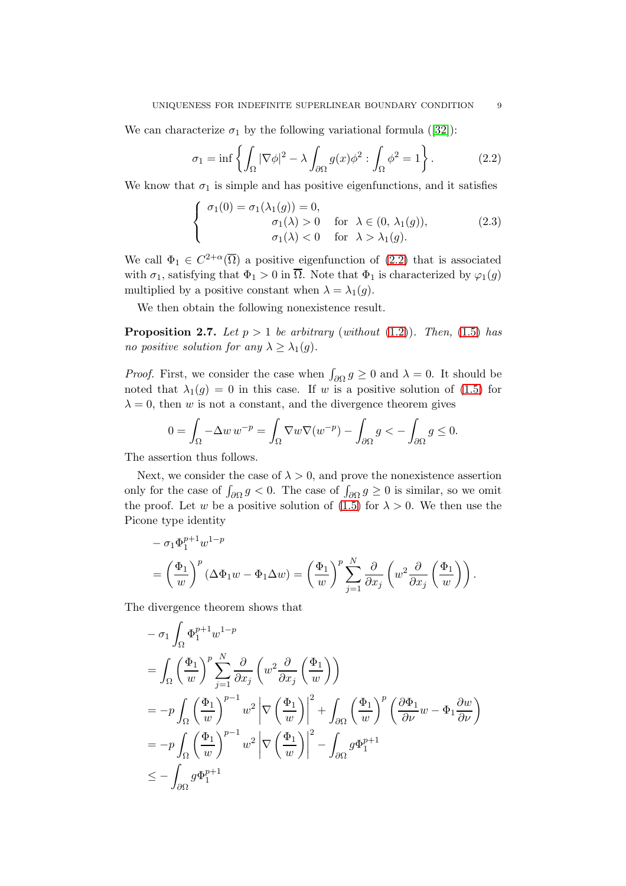Wecan characterize  $\sigma_1$  by the following variational formula ([\[32\]](#page-26-1)):

$$
\sigma_1 = \inf \left\{ \int_{\Omega} |\nabla \phi|^2 - \lambda \int_{\partial \Omega} g(x) \phi^2 : \int_{\Omega} \phi^2 = 1 \right\}.
$$
 (2.2)

We know that  $\sigma_1$  is simple and has positive eigenfunctions, and it satisfies

$$
\begin{cases}\n\sigma_1(0) = \sigma_1(\lambda_1(g)) = 0, \\
\sigma_1(\lambda) > 0 \quad \text{for } \lambda \in (0, \lambda_1(g)), \\
\sigma_1(\lambda) < 0 \quad \text{for } \lambda > \lambda_1(g).\n\end{cases}
$$
\n(2.3)

We call  $\Phi_1 \in C^{2+\alpha}(\overline{\Omega})$  a positive eigenfunction of  $(2.2)$  that is associated with  $\sigma_1$ , satisfying that  $\Phi_1 > 0$  in  $\overline{\Omega}$ . Note that  $\Phi_1$  is characterized by  $\varphi_1(q)$ multiplied by a positive constant when  $\lambda = \lambda_1(g)$ .

We then obtain the following nonexistence result.

<span id="page-8-0"></span>**Proposition 2.7.** Let  $p > 1$  be arbitrary (without [\(1.2\)](#page-0-1)). Then, [\(1.5\)](#page-1-2) has no positive solution for any  $\lambda \geq \lambda_1(g)$ .

*Proof.* First, we consider the case when  $\int_{\partial\Omega} g \ge 0$  and  $\lambda = 0$ . It should be noted that  $\lambda_1(g) = 0$  in this case. If w is a positive solution of [\(1.5\)](#page-1-2) for  $\lambda = 0$ , then w is not a constant, and the divergence theorem gives

$$
0 = \int_{\Omega} -\Delta w \, w^{-p} = \int_{\Omega} \nabla w \nabla (w^{-p}) - \int_{\partial \Omega} g < -\int_{\partial \Omega} g \le 0.
$$

The assertion thus follows.

Next, we consider the case of  $\lambda > 0$ , and prove the nonexistence assertion only for the case of  $\int_{\partial\Omega} g < 0$ . The case of  $\int_{\partial\Omega} g \ge 0$  is similar, so we omit the proof. Let w be a positive solution of [\(1.5\)](#page-1-2) for  $\lambda > 0$ . We then use the Picone type identity

$$
- \sigma_1 \Phi_1^{p+1} w^{1-p}
$$
  
=  $\left(\frac{\Phi_1}{w}\right)^p (\Delta \Phi_1 w - \Phi_1 \Delta w) = \left(\frac{\Phi_1}{w}\right)^p \sum_{j=1}^N \frac{\partial}{\partial x_j} \left(w^2 \frac{\partial}{\partial x_j} \left(\frac{\Phi_1}{w}\right)\right).$ 

The divergence theorem shows that

$$
- \sigma_1 \int_{\Omega} \Phi_1^{p+1} w^{1-p}
$$
  
= 
$$
\int_{\Omega} \left(\frac{\Phi_1}{w}\right)^p \sum_{j=1}^N \frac{\partial}{\partial x_j} \left(w^2 \frac{\partial}{\partial x_j} \left(\frac{\Phi_1}{w}\right)\right)
$$
  
= 
$$
-p \int_{\Omega} \left(\frac{\Phi_1}{w}\right)^{p-1} w^2 \left|\nabla \left(\frac{\Phi_1}{w}\right)\right|^2 + \int_{\partial \Omega} \left(\frac{\Phi_1}{w}\right)^p \left(\frac{\partial \Phi_1}{\partial \nu} w - \Phi_1 \frac{\partial w}{\partial \nu}\right)
$$
  
= 
$$
-p \int_{\Omega} \left(\frac{\Phi_1}{w}\right)^{p-1} w^2 \left|\nabla \left(\frac{\Phi_1}{w}\right)\right|^2 - \int_{\partial \Omega} g \Phi_1^{p+1}
$$
  

$$
\leq - \int_{\partial \Omega} g \Phi_1^{p+1}
$$

<span id="page-8-2"></span><span id="page-8-1"></span>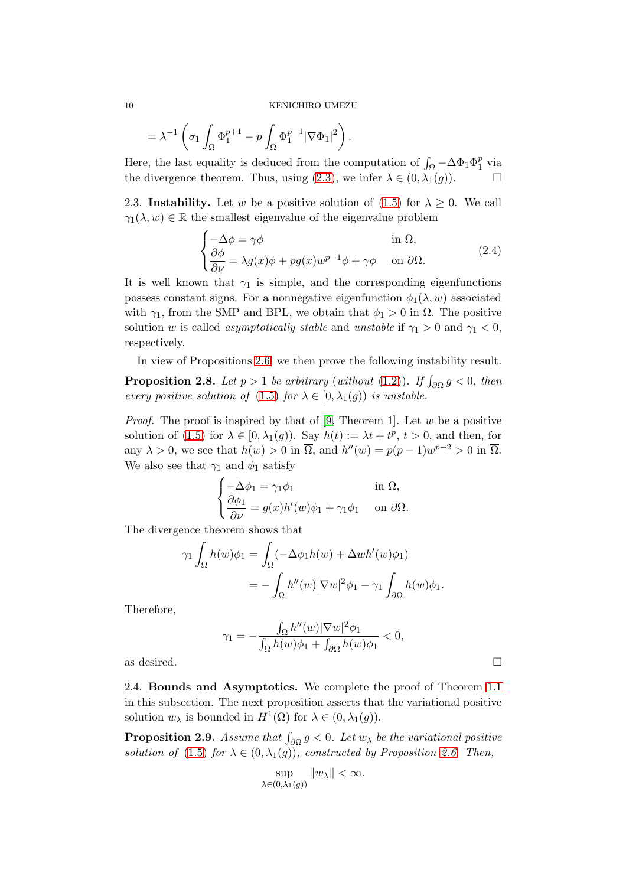$$
= \lambda^{-1} \left( \sigma_1 \int_{\Omega} \Phi_1^{p+1} - p \int_{\Omega} \Phi_1^{p-1} |\nabla \Phi_1|^2 \right).
$$

Here, the last equality is deduced from the computation of  $\int_{\Omega} -\Delta \Phi_1 \Phi_1^p$  $\frac{p}{1}$  via the divergence theorem. Thus, using [\(2.3\)](#page-8-2), we infer  $\lambda \in (0, \lambda_1(g))$ .

<span id="page-9-0"></span>2.3. Instability. Let w be a positive solution of [\(1.5\)](#page-1-2) for  $\lambda \geq 0$ . We call  $\gamma_1(\lambda, w) \in \mathbb{R}$  the smallest eigenvalue of the eigenvalue problem

<span id="page-9-4"></span>
$$
\begin{cases}\n-\Delta \phi = \gamma \phi & \text{in } \Omega, \\
\frac{\partial \phi}{\partial \nu} = \lambda g(x) \phi + pg(x) w^{p-1} \phi + \gamma \phi & \text{on } \partial \Omega.\n\end{cases}
$$
\n(2.4)

It is well known that  $\gamma_1$  is simple, and the corresponding eigenfunctions possess constant signs. For a nonnegative eigenfunction  $\phi_1(\lambda, w)$  associated with  $\gamma_1$ , from the SMP and BPL, we obtain that  $\phi_1 > 0$  in  $\overline{\Omega}$ . The positive solution w is called *asymptotically stable* and unstable if  $\gamma_1 > 0$  and  $\gamma_1 < 0$ , respectively.

In view of Propositions [2.6,](#page-7-2) we then prove the following instability result.

<span id="page-9-3"></span>**Proposition 2.8.** Let  $p > 1$  be arbitrary (without [\(1.2\)](#page-0-1)). If  $\int_{\partial\Omega} g < 0$ , then every positive solution of [\(1.5\)](#page-1-2) for  $\lambda \in [0, \lambda_1(g))$  is unstable.

*Proof.* The proof is inspired by that of [\[9,](#page-25-7) Theorem 1]. Let w be a positive solution of [\(1.5\)](#page-1-2) for  $\lambda \in [0, \lambda_1(g))$ . Say  $h(t) := \lambda t + t^p$ ,  $t > 0$ , and then, for any  $\lambda > 0$ , we see that  $h(w) > 0$  in  $\overline{\Omega}$ , and  $h''(w) = p(p-1)w^{p-2} > 0$  in  $\overline{\Omega}$ . We also see that  $\gamma_1$  and  $\phi_1$  satisfy

$$
\begin{cases}\n-\Delta \phi_1 = \gamma_1 \phi_1 & \text{in } \Omega, \\
\frac{\partial \phi_1}{\partial \nu} = g(x)h'(w)\phi_1 + \gamma_1 \phi_1 & \text{on } \partial \Omega.\n\end{cases}
$$

The divergence theorem shows that

$$
\gamma_1 \int_{\Omega} h(w)\phi_1 = \int_{\Omega} (-\Delta \phi_1 h(w) + \Delta wh'(w)\phi_1)
$$
  
= 
$$
- \int_{\Omega} h''(w) |\nabla w|^2 \phi_1 - \gamma_1 \int_{\partial \Omega} h(w)\phi_1.
$$

Therefore,

$$
\gamma_1 = -\frac{\int_{\Omega} h''(w) |\nabla w|^2 \phi_1}{\int_{\Omega} h(w) \phi_1 + \int_{\partial \Omega} h(w) \phi_1} < 0,
$$

<span id="page-9-1"></span>as desired.

2.4. Bounds and Asymptotics. We complete the proof of Theorem [1.1](#page-2-3) in this subsection. The next proposition asserts that the variational positive solution  $w_{\lambda}$  is bounded in  $H^1(\Omega)$  for  $\lambda \in (0, \lambda_1(g))$ .

<span id="page-9-2"></span>**Proposition 2.9.** Assume that  $\int_{\partial\Omega} g < 0$ . Let  $w_{\lambda}$  be the variational positive solution of [\(1.5\)](#page-1-2) for  $\lambda \in (0, \lambda_1(g))$ , constructed by Proposition [2.6.](#page-7-2) Then,

$$
\sup_{\lambda \in (0,\lambda_1(g))} \|w_{\lambda}\| < \infty.
$$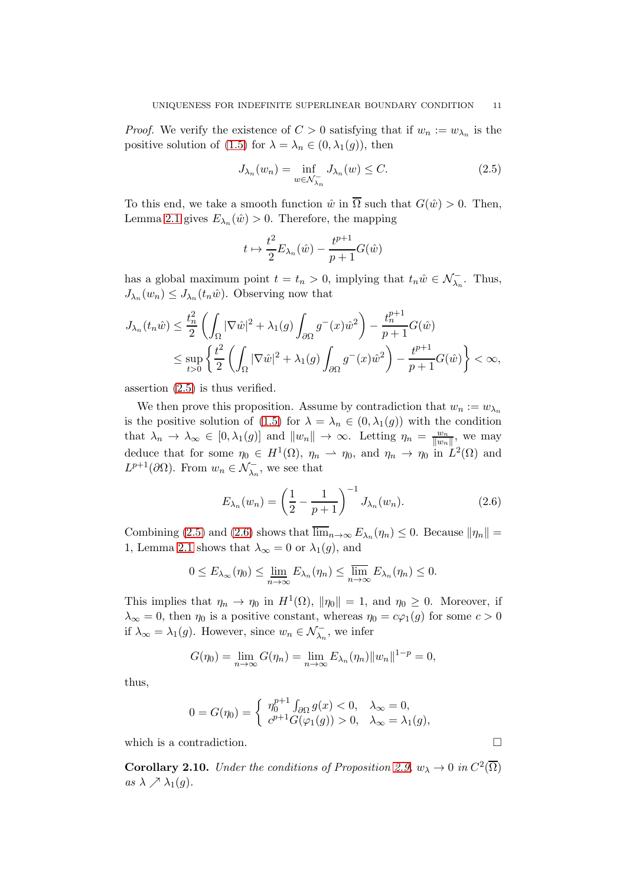*Proof.* We verify the existence of  $C > 0$  satisfying that if  $w_n := w_{\lambda_n}$  is the positive solution of [\(1.5\)](#page-1-2) for  $\lambda = \lambda_n \in (0, \lambda_1(g))$ , then

<span id="page-10-0"></span>
$$
J_{\lambda_n}(w_n) = \inf_{w \in \mathcal{N}_{\lambda_n}^-} J_{\lambda_n}(w) \le C. \tag{2.5}
$$

To this end, we take a smooth function  $\hat{w}$  in  $\overline{\Omega}$  such that  $G(\hat{w}) > 0$ . Then, Lemma [2.1](#page-5-0) gives  $E_{\lambda_n}(\hat{w}) > 0$ . Therefore, the mapping

$$
t \mapsto \frac{t^2}{2} E_{\lambda_n}(\hat{w}) - \frac{t^{p+1}}{p+1} G(\hat{w})
$$

has a global maximum point  $t = t_n > 0$ , implying that  $t_n \hat{w} \in \mathcal{N}_{\lambda_n}^-$ . Thus,  $J_{\lambda_n}(w_n) \leq J_{\lambda_n}(t_n\hat{w})$ . Observing now that

$$
J_{\lambda_n}(t_n\hat{w}) \le \frac{t_n^2}{2} \left( \int_{\Omega} |\nabla \hat{w}|^2 + \lambda_1(g) \int_{\partial \Omega} g^-(x) \hat{w}^2 \right) - \frac{t_n^{p+1}}{p+1} G(\hat{w})
$$
  

$$
\le \sup_{t>0} \left\{ \frac{t^2}{2} \left( \int_{\Omega} |\nabla \hat{w}|^2 + \lambda_1(g) \int_{\partial \Omega} g^-(x) \hat{w}^2 \right) - \frac{t^{p+1}}{p+1} G(\hat{w}) \right\} < \infty,
$$

assertion [\(2.5\)](#page-10-0) is thus verified.

We then prove this proposition. Assume by contradiction that  $w_n := w_{\lambda_n}$ is the positive solution of [\(1.5\)](#page-1-2) for  $\lambda = \lambda_n \in (0, \lambda_1(g))$  with the condition that  $\lambda_n \to \lambda_\infty \in [0, \lambda_1(g)]$  and  $||w_n|| \to \infty$ . Letting  $\eta_n = \frac{w_n}{||w_n||}$  $\frac{w_n}{\|w_n\|}$ , we may deduce that for some  $\eta_0 \in H^1(\Omega)$ ,  $\eta_n \to \eta_0$ , and  $\eta_n \to \eta_0$  in  $L^2(\Omega)$  and  $L^{p+1}(\partial\Omega)$ . From  $w_n \in \mathcal{N}_{\lambda_n}^-$ , we see that

<span id="page-10-1"></span>
$$
E_{\lambda_n}(w_n) = \left(\frac{1}{2} - \frac{1}{p+1}\right)^{-1} J_{\lambda_n}(w_n).
$$
 (2.6)

Combining [\(2.5\)](#page-10-0) and [\(2.6\)](#page-10-1) shows that  $\lim_{n\to\infty} E_{\lambda_n}(\eta_n) \leq 0$ . Because  $\|\eta_n\| =$ 1, Lemma [2.1](#page-5-0) shows that  $\lambda_{\infty} = 0$  or  $\lambda_1(g)$ , and

$$
0 \leq E_{\lambda_{\infty}}(\eta_0) \leq \underline{\lim}_{n \to \infty} E_{\lambda_n}(\eta_n) \leq \overline{\lim}_{n \to \infty} E_{\lambda_n}(\eta_n) \leq 0.
$$

This implies that  $\eta_n \to \eta_0$  in  $H^1(\Omega)$ ,  $\|\eta_0\| = 1$ , and  $\eta_0 \geq 0$ . Moreover, if  $\lambda_{\infty} = 0$ , then  $\eta_0$  is a positive constant, whereas  $\eta_0 = c\varphi_1(g)$  for some  $c > 0$ if  $\lambda_{\infty} = \lambda_1(g)$ . However, since  $w_n \in \mathcal{N}_{\lambda_n}^-$ , we infer

$$
G(\eta_0) = \lim_{n \to \infty} G(\eta_n) = \lim_{n \to \infty} E_{\lambda_n}(\eta_n) ||w_n||^{1-p} = 0,
$$

thus,

$$
0 = G(\eta_0) = \begin{cases} \eta_0^{p+1} \int_{\partial \Omega} g(x) < 0, \quad \lambda_{\infty} = 0, \\ c^{p+1} G(\varphi_1(g)) > 0, \quad \lambda_{\infty} = \lambda_1(g), \end{cases}
$$

which is a contradiction.  $\hfill \square$ 

<span id="page-10-2"></span>**Corollary 2.10.** Under the conditions of Proposition [2.9,](#page-9-2)  $w_{\lambda} \to 0$  in  $C^2(\overline{\Omega})$ as  $\lambda \nearrow \lambda_1(g)$ .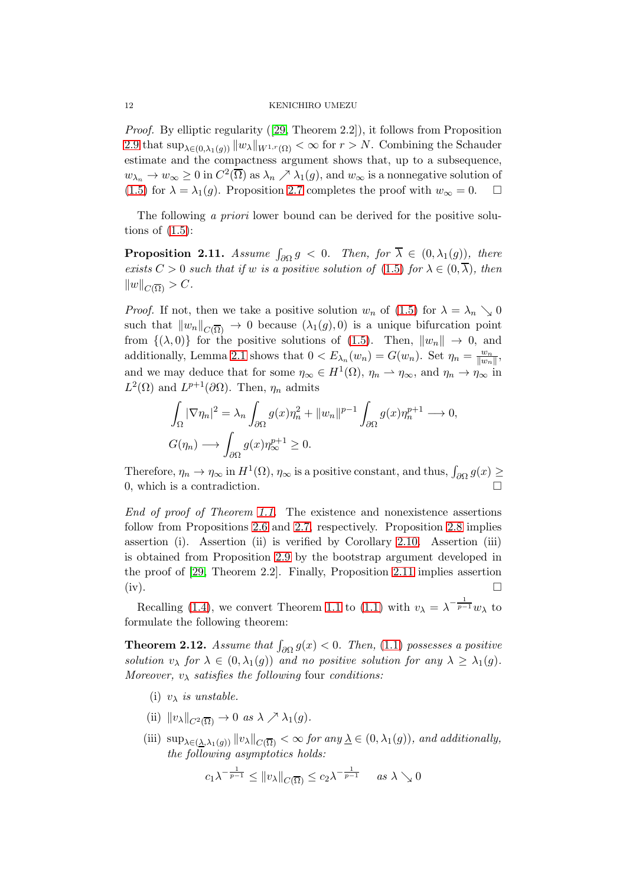Proof. By elliptic regularity([\[29,](#page-26-3) Theorem 2.2]), it follows from Proposition [2.9](#page-9-2) that  $\sup_{\lambda \in (0,\lambda_1(g))} ||w_\lambda||_{W^{1,r}(\Omega)} < \infty$  for  $r > N$ . Combining the Schauder estimate and the compactness argument shows that, up to a subsequence,  $w_{\lambda_n} \to w_\infty \ge 0$  in  $C^2(\overline{\Omega})$  as  $\lambda_n \nearrow \lambda_1(g)$ , and  $w_\infty$  is a nonnegative solution of [\(1.5\)](#page-1-2) for  $\lambda = \lambda_1(g)$ . Proposition [2.7](#page-8-0) completes the proof with  $w_\infty = 0$ .  $\Box$ 

The following a priori lower bound can be derived for the positive solutions of  $(1.5)$ :

<span id="page-11-1"></span>**Proposition 2.11.** Assume  $\int_{\partial\Omega} g < 0$ . Then, for  $\overline{\lambda} \in (0, \lambda_1(g))$ , there exists  $C > 0$  such that if w is a positive solution of [\(1.5\)](#page-1-2) for  $\lambda \in (0, \overline{\lambda})$ , then  $||w||_{C(\overline{\Omega})} > C.$ 

*Proof.* If not, then we take a positive solution  $w_n$  of [\(1.5\)](#page-1-2) for  $\lambda = \lambda_n \searrow 0$ such that  $||w_n||_{C(\overline{\Omega})} \to 0$  because  $(\lambda_1(g), 0)$  is a unique bifurcation point from  $\{(\lambda, 0)\}\$ for the positive solutions of  $(1.5)$ . Then,  $||w_n|| \to 0$ , and additionally, Lemma [2.1](#page-5-0) shows that  $0 < E_{\lambda_n}(w_n) = G(w_n)$ . Set  $\eta_n = \frac{w_n}{\|w_n\|}$  $\frac{w_n}{\|w_n\|},$ and we may deduce that for some  $\eta_{\infty} \in H^{1}(\Omega)$ ,  $\eta_{n} \to \eta_{\infty}$ , and  $\eta_{n} \to \eta_{\infty}$  in  $L^2(\Omega)$  and  $L^{p+1}(\partial\Omega)$ . Then,  $\eta_n$  admits

$$
\int_{\Omega} |\nabla \eta_n|^2 = \lambda_n \int_{\partial \Omega} g(x) \eta_n^2 + ||w_n||^{p-1} \int_{\partial \Omega} g(x) \eta_n^{p+1} \longrightarrow 0,
$$
  

$$
G(\eta_n) \longrightarrow \int_{\partial \Omega} g(x) \eta_\infty^{p+1} \ge 0.
$$

Therefore,  $\eta_n \to \eta_\infty$  in  $H^1(\Omega)$ ,  $\eta_\infty$  is a positive constant, and thus,  $\int_{\partial\Omega} g(x) \ge$ 0, which is a contradiction.

End of proof of Theorem [1.1.](#page-2-3) The existence and nonexistence assertions follow from Propositions [2.6](#page-7-2) and [2.7,](#page-8-0) respectively. Proposition [2.8](#page-9-3) implies assertion (i). Assertion (ii) is verified by Corollary [2.10.](#page-10-2) Assertion (iii) is obtained from Proposition [2.9](#page-9-2) by the bootstrap argument developed in the proof of [\[29,](#page-26-3) Theorem 2.2]. Finally, Proposition [2.11](#page-11-1) implies assertion  $(iv).$ 

Recalling [\(1.4\)](#page-1-3), we convert Theorem [1.1](#page-2-3) to [\(1.1\)](#page-0-0) with  $v_{\lambda} = \lambda^{-\frac{1}{p-1}} w_{\lambda}$  to formulate the following theorem:

<span id="page-11-0"></span>**Theorem 2.12.** Assume that  $\int_{\partial\Omega} g(x) < 0$ . Then, [\(1.1\)](#page-0-0) possesses a positive solution  $v_{\lambda}$  for  $\lambda \in (0, \lambda_1(g))$  and no positive solution for any  $\lambda \geq \lambda_1(g)$ . Moreover,  $v_{\lambda}$  satisfies the following four conditions:

- (i)  $v_{\lambda}$  is unstable.
- (ii)  $||v_\lambda||_{C^2(\overline{\Omega})} \to 0$  as  $\lambda \nearrow \lambda_1(g)$ .
- (iii)  $\sup_{\lambda \in (\lambda, \lambda_1(q))} ||v_{\lambda}||_{C(\overline{\Omega})} < \infty$  for any  $\underline{\lambda} \in (0, \lambda_1(q))$ , and additionally, the following asymptotics holds:

$$
c_1\lambda^{-\frac{1}{p-1}} \le \|v_\lambda\|_{C(\overline{\Omega})} \le c_2\lambda^{-\frac{1}{p-1}} \quad \text{as } \lambda \searrow 0
$$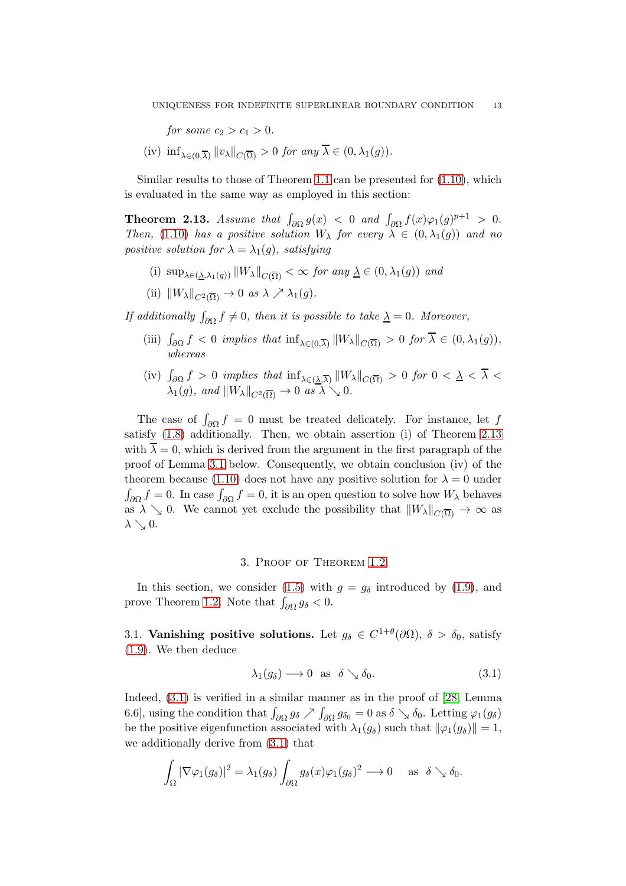for some  $c_2 > c_1 > 0$ .

(iv)  $\inf_{\lambda \in (0,\overline{\lambda})} ||v_{\lambda}||_{C(\overline{\Omega})} > 0$  for any  $\lambda \in (0,\lambda_1(g)).$ 

Similar results to those of Theorem [1.1](#page-2-3) can be presented for [\(1.10\)](#page-4-1), which is evaluated in the same way as employed in this section:

<span id="page-12-2"></span>**Theorem 2.13.** Assume that  $\int_{\partial\Omega} g(x) < 0$  and  $\int_{\partial\Omega} f(x)\varphi_1(g)^{p+1} > 0$ . Then, [\(1.10\)](#page-4-1) has a positive solution  $W_{\lambda}$  for every  $\lambda \in (0, \lambda_1(g))$  and no positive solution for  $\lambda = \lambda_1(g)$ , satisfying

- (i)  $\sup_{\lambda \in (\lambda, \lambda_1(g))} ||W_{\lambda}||_{C(\overline{\Omega})} < \infty$  for any  $\underline{\lambda} \in (0, \lambda_1(g))$  and
- (ii)  $\|W_\lambda\|_{C^2(\overline{\Omega})} \to 0$  as  $\lambda \nearrow \lambda_1(g)$ .

If additionally  $\int_{\partial\Omega} f \neq 0$ , then it is possible to take  $\underline{\lambda} = 0$ . Moreover,

- (iii)  $\int_{\partial\Omega} f < 0$  implies that  $\inf_{\lambda \in (0,\overline{\lambda})} ||W_{\lambda}||_{C(\overline{\Omega})} > 0$  for  $\overline{\lambda} \in (0,\lambda_1(g)),$ whereas
- (iv)  $\int_{\partial\Omega} f > 0$  implies that  $\inf_{\lambda \in (\underline{\lambda}, \overline{\lambda})} ||W_{\lambda}||_{C(\overline{\Omega})} > 0$  for  $0 < \underline{\lambda} < \overline{\lambda} <$  $\lambda_1(g)$ , and  $\|W_\lambda\|_{C^2(\overline{\Omega})} \to 0$  as  $\lambda \searrow 0$ .

The case of  $\int_{\partial\Omega} f = 0$  must be treated delicately. For instance, let f satisfy [\(1.8\)](#page-2-0) additionally. Then, we obtain assertion (i) of Theorem [2.13](#page-12-2) with  $\overline{\lambda} = 0$ , which is derived from the argument in the first paragraph of the proof of Lemma [3.1](#page-13-0) below. Consequently, we obtain conclusion (iv) of the theorem because [\(1.10\)](#page-4-1) does not have any positive solution for  $\lambda = 0$  under  $\int_{\partial\Omega} f = 0$ . In case  $\int_{\partial\Omega} f = 0$ , it is an open question to solve how  $W_{\lambda}$  behaves as  $\lambda \searrow 0$ . We cannot yet exclude the possibility that  $\|W_{\lambda}\|_{C(\overline{\Omega})} \to \infty$  as  $\lambda \searrow 0$ .

### 3. Proof of Theorem [1.2](#page-3-1)

<span id="page-12-1"></span>In this section, we consider [\(1.5\)](#page-1-2) with  $g = g_\delta$  introduced by [\(1.9\)](#page-2-1), and prove Theorem [1.2.](#page-3-1) Note that  $\int_{\partial\Omega} g_{\delta} < 0$ .

3.1. Vanishing positive solutions. Let  $g_{\delta} \in C^{1+\theta}(\partial \Omega)$ ,  $\delta > \delta_0$ , satisfy [\(1.9\)](#page-2-1). We then deduce

<span id="page-12-0"></span>
$$
\lambda_1(g_\delta) \longrightarrow 0 \text{ as } \delta \searrow \delta_0. \tag{3.1}
$$

Indeed, [\(3.1\)](#page-12-0) is verified in a similar manner as in the proof of [\[28,](#page-26-8) Lemma 6.6], using the condition that  $\int_{\partial\Omega} g_{\delta} \nearrow \int_{\partial\Omega} g_{\delta_0} = 0$  as  $\delta \searrow \delta_0$ . Letting  $\varphi_1(g_{\delta})$ be the positive eigenfunction associated with  $\lambda_1(g_\delta)$  such that  $\|\varphi_1(g_\delta)\|=1$ , we additionally derive from [\(3.1\)](#page-12-0) that

$$
\int_{\Omega} |\nabla \varphi_1(g_\delta)|^2 = \lambda_1(g_\delta) \int_{\partial \Omega} g_\delta(x) \varphi_1(g_\delta)^2 \longrightarrow 0 \quad \text{as} \quad \delta \searrow \delta_0.
$$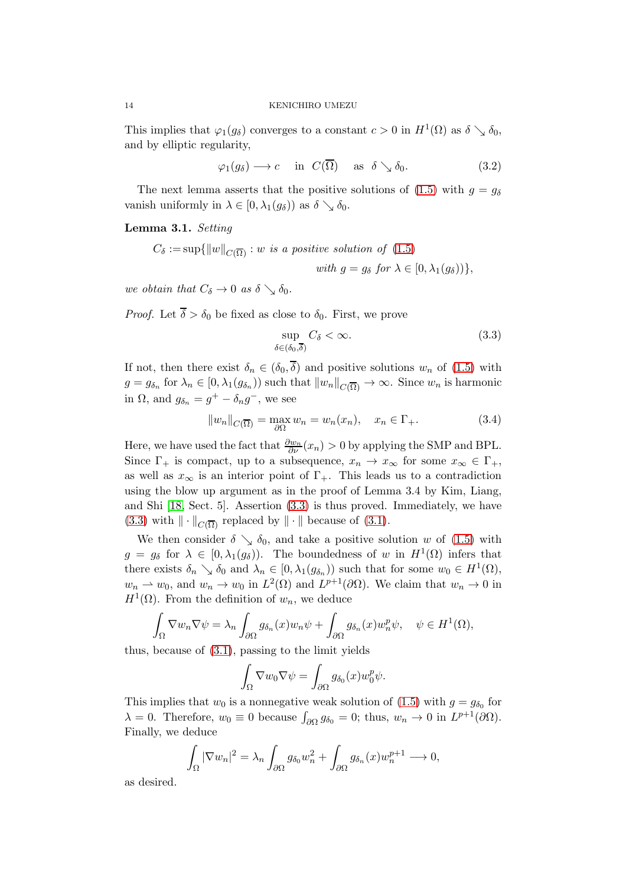This implies that  $\varphi_1(g_\delta)$  converges to a constant  $c > 0$  in  $H^1(\Omega)$  as  $\delta \searrow \delta_0$ , and by elliptic regularity,

<span id="page-13-2"></span>
$$
\varphi_1(g_\delta) \longrightarrow c \quad \text{in } C(\overline{\Omega}) \quad \text{as } \delta \searrow \delta_0. \tag{3.2}
$$

The next lemma asserts that the positive solutions of [\(1.5\)](#page-1-2) with  $q = q_\delta$ vanish uniformly in  $\lambda \in [0, \lambda_1(g_\delta))$  as  $\delta \searrow \delta_0$ .

<span id="page-13-0"></span>Lemma 3.1. Setting

 $C_{\delta} := \sup\{\Vert w\Vert_{C(\overline{\Omega})} : w \text{ is a positive solution of } (1.5)\}\$  $C_{\delta} := \sup\{\Vert w\Vert_{C(\overline{\Omega})} : w \text{ is a positive solution of } (1.5)\}\$  $C_{\delta} := \sup\{\Vert w\Vert_{C(\overline{\Omega})} : w \text{ is a positive solution of } (1.5)\}\$ with  $g = g_\delta$  for  $\lambda \in [0, \lambda_1(g_\delta))\},\$ 

we obtain that  $C_{\delta} \to 0$  as  $\delta \searrow \delta_0$ .

*Proof.* Let  $\overline{\delta} > \delta_0$  be fixed as close to  $\delta_0$ . First, we prove

<span id="page-13-3"></span><span id="page-13-1"></span>
$$
\sup_{\delta \in (\delta_0, \overline{\delta})} C_{\delta} < \infty.
$$
\n(3.3)

If not, then there exist  $\delta_n \in (\delta_0, \overline{\delta})$  and positive solutions  $w_n$  of [\(1.5\)](#page-1-2) with  $g = g_{\delta_n}$  for  $\lambda_n \in [0, \lambda_1(g_{\delta_n}))$  such that  $||w_n||_{C(\overline{\Omega})} \to \infty$ . Since  $w_n$  is harmonic in  $\Omega$ , and  $g_{\delta_n} = g^+ - \delta_n g^-$ , we see

$$
||w_n||_{C(\overline{\Omega})} = \max_{\partial\Omega} w_n = w_n(x_n), \quad x_n \in \Gamma_+.
$$
 (3.4)

Here, we have used the fact that  $\frac{\partial w_n}{\partial \nu}(x_n) > 0$  by applying the SMP and BPL. Since  $\Gamma_+$  is compact, up to a subsequence,  $x_n \to x_\infty$  for some  $x_\infty \in \Gamma_+$ , as well as  $x_{\infty}$  is an interior point of  $\Gamma_{+}$ . This leads us to a contradiction using the blow up argument as in the proof of Lemma 3.4 by Kim, Liang, and Shi [\[18,](#page-26-9) Sect. 5]. Assertion [\(3.3\)](#page-13-1) is thus proved. Immediately, we have [\(3.3\)](#page-13-1) with  $\|\cdot\|_{C(\overline{\Omega})}$  replaced by  $\|\cdot\|$  because of [\(3.1\)](#page-12-0).

We then consider  $\delta \searrow \delta_0$ , and take a positive solution w of [\(1.5\)](#page-1-2) with  $g = g_{\delta}$  for  $\lambda \in [0, \lambda_1(g_{\delta}))$ . The boundedness of w in  $H^1(\Omega)$  infers that there exists  $\delta_n \searrow \delta_0$  and  $\lambda_n \in [0, \lambda_1(g_{\delta_n}))$  such that for some  $w_0 \in H^1(\Omega)$ ,  $w_n \rightharpoonup w_0$ , and  $w_n \to w_0$  in  $L^2(\Omega)$  and  $L^{p+1}(\partial\Omega)$ . We claim that  $w_n \to 0$  in  $H^1(\Omega)$ . From the definition of  $w_n$ , we deduce

$$
\int_{\Omega} \nabla w_n \nabla \psi = \lambda_n \int_{\partial \Omega} g_{\delta_n}(x) w_n \psi + \int_{\partial \Omega} g_{\delta_n}(x) w_n^p \psi, \quad \psi \in H^1(\Omega),
$$

thus, because of [\(3.1\)](#page-12-0), passing to the limit yields

$$
\int_{\Omega} \nabla w_0 \nabla \psi = \int_{\partial \Omega} g_{\delta_0}(x) w_0^p \psi.
$$

This implies that  $w_0$  is a nonnegative weak solution of [\(1.5\)](#page-1-2) with  $g = g_{\delta_0}$  for  $\lambda = 0$ . Therefore,  $w_0 \equiv 0$  because  $\int_{\partial \Omega} g_{\delta_0} = 0$ ; thus,  $w_n \to 0$  in  $L^{p+1}(\partial \Omega)$ . Finally, we deduce

$$
\int_{\Omega} |\nabla w_n|^2 = \lambda_n \int_{\partial \Omega} g_{\delta_0} w_n^2 + \int_{\partial \Omega} g_{\delta_n}(x) w_n^{p+1} \longrightarrow 0,
$$

as desired.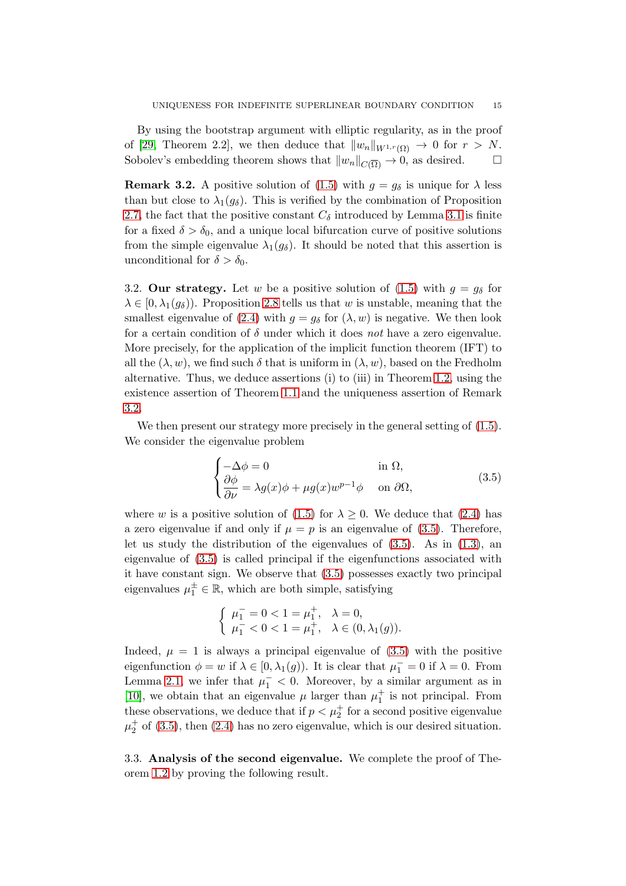By using the bootstrap argument with elliptic regularity, as in the proof of [\[29,](#page-26-3) Theorem 2.2], we then deduce that  $||w_n||_{W^{1,r}(\Omega)} \to 0$  for  $r > N$ . Sobolev's embedding theorem shows that  $||w_n||_{C(\overline{\Omega})} \to 0$ , as desired.  $\square$ 

<span id="page-14-0"></span>**Remark 3.2.** A positive solution of [\(1.5\)](#page-1-2) with  $g = g_\delta$  is unique for  $\lambda$  less than but close to  $\lambda_1(g_\delta)$ . This is verified by the combination of Proposition [2.7,](#page-8-0) the fact that the positive constant  $C_{\delta}$  introduced by Lemma [3.1](#page-13-0) is finite for a fixed  $\delta > \delta_0$ , and a unique local bifurcation curve of positive solutions from the simple eigenvalue  $\lambda_1(g_\delta)$ . It should be noted that this assertion is unconditional for  $\delta > \delta_0$ .

3.2. Our strategy. Let w be a positive solution of [\(1.5\)](#page-1-2) with  $g = g_\delta$  for  $\lambda \in [0, \lambda_1(g_\delta))$ . Proposition [2.8](#page-9-3) tells us that w is unstable, meaning that the smallest eigenvalue of [\(2.4\)](#page-9-4) with  $q = q_\delta$  for  $(\lambda, w)$  is negative. We then look for a certain condition of  $\delta$  under which it does not have a zero eigenvalue. More precisely, for the application of the implicit function theorem (IFT) to all the  $(\lambda, w)$ , we find such  $\delta$  that is uniform in  $(\lambda, w)$ , based on the Fredholm alternative. Thus, we deduce assertions (i) to (iii) in Theorem [1.2,](#page-3-1) using the existence assertion of Theorem [1.1](#page-2-3) and the uniqueness assertion of Remark [3.2.](#page-14-0)

We then present our strategy more precisely in the general setting of  $(1.5)$ . We consider the eigenvalue problem

<span id="page-14-1"></span>
$$
\begin{cases}\n-\Delta \phi = 0 & \text{in } \Omega, \\
\frac{\partial \phi}{\partial \nu} = \lambda g(x)\phi + \mu g(x)w^{p-1}\phi & \text{on } \partial\Omega,\n\end{cases}
$$
\n(3.5)

where w is a positive solution of [\(1.5\)](#page-1-2) for  $\lambda \geq 0$ . We deduce that [\(2.4\)](#page-9-4) has a zero eigenvalue if and only if  $\mu = p$  is an eigenvalue of [\(3.5\)](#page-14-1). Therefore, let us study the distribution of the eigenvalues of [\(3.5\)](#page-14-1). As in [\(1.3\)](#page-1-0), an eigenvalue of [\(3.5\)](#page-14-1) is called principal if the eigenfunctions associated with it have constant sign. We observe that [\(3.5\)](#page-14-1) possesses exactly two principal eigenvalues  $\mu_1^{\pm} \in \mathbb{R}$ , which are both simple, satisfying

$$
\left\{\begin{array}{ll}\mu_1^-=0<1=\mu_1^+,& \lambda=0,\\ \mu_1^-<0<1=\mu_1^+,& \lambda\in(0,\lambda_1(g)).\end{array}\right.
$$

Indeed,  $\mu = 1$  is always a principal eigenvalue of  $(3.5)$  with the positive eigenfunction  $\phi = w$  if  $\lambda \in [0, \lambda_1(g))$ . It is clear that  $\mu_1^- = 0$  if  $\lambda = 0$ . From Lemma [2.1,](#page-5-0) we infer that  $\mu_1^-$  < 0. Moreover, by a similar argument as in [\[10\]](#page-25-9), we obtain that an eigenvalue  $\mu$  larger than  $\mu_1^+$  is not principal. From these observations, we deduce that if  $p < \mu_2^+$  for a second positive eigenvalue  $\mu_2^+$  of [\(3.5\)](#page-14-1), then [\(2.4\)](#page-9-4) has no zero eigenvalue, which is our desired situation.

3.3. Analysis of the second eigenvalue. We complete the proof of Theorem [1.2](#page-3-1) by proving the following result.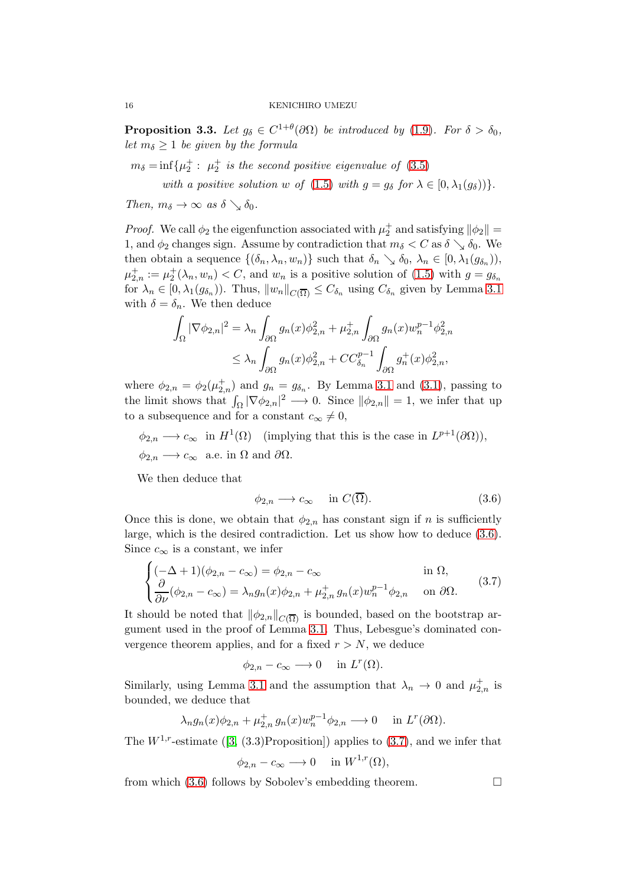<span id="page-15-0"></span>**Proposition 3.3.** Let  $g_{\delta} \in C^{1+\theta}(\partial \Omega)$  be introduced by [\(1.9\)](#page-2-1). For  $\delta > \delta_0$ , let  $m_{\delta} \geq 1$  be given by the formula

 $m_{\delta} = \inf \{ \mu_2^+ : \mu_2^+ \text{ is the second positive eigenvalue of } (3.5) \}$  $m_{\delta} = \inf \{ \mu_2^+ : \mu_2^+ \text{ is the second positive eigenvalue of } (3.5) \}$  $m_{\delta} = \inf \{ \mu_2^+ : \mu_2^+ \text{ is the second positive eigenvalue of } (3.5) \}$ 

with a positive solution w of [\(1.5\)](#page-1-2) with  $g = g_\delta$  for  $\lambda \in [0, \lambda_1(g_\delta))$ .

Then,  $m_{\delta} \rightarrow \infty$  as  $\delta \searrow \delta_0$ .

*Proof.* We call  $\phi_2$  the eigenfunction associated with  $\mu_2^+$  and satisfying  $\|\phi_2\|$  = 1, and  $\phi_2$  changes sign. Assume by contradiction that  $m_{\delta} < C$  as  $\delta \searrow \delta_0$ . We then obtain a sequence  $\{(\delta_n, \lambda_n, w_n)\}\$  such that  $\delta_n \searrow \delta_0, \lambda_n \in [0, \lambda_1(g_{\delta_n}))\$ ,  $\mu_{2,n}^+ := \mu_2^+(\lambda_n, w_n) < C$ , and  $w_n$  is a positive solution of [\(1.5\)](#page-1-2) with  $g = g_{\delta_n}$ for  $\lambda_n \in [0, \lambda_1(g_{\delta_n}))$ . Thus,  $||w_n||_{C(\overline{\Omega})} \leq C_{\delta_n}$  using  $C_{\delta_n}$  given by Lemma [3.1](#page-13-0) with  $\delta = \delta_n$ . We then deduce

$$
\int_{\Omega} |\nabla \phi_{2,n}|^2 = \lambda_n \int_{\partial \Omega} g_n(x) \phi_{2,n}^2 + \mu_{2,n}^+ \int_{\partial \Omega} g_n(x) w_n^{p-1} \phi_{2,n}^2
$$
  

$$
\leq \lambda_n \int_{\partial \Omega} g_n(x) \phi_{2,n}^2 + C C_{\delta_n}^{p-1} \int_{\partial \Omega} g_n^+(x) \phi_{2,n}^2,
$$

where  $\phi_{2,n} = \phi_2(\mu_{2,n}^+)$  and  $g_n = g_{\delta_n}$ . By Lemma [3.1](#page-13-0) and [\(3.1\)](#page-12-0), passing to the limit shows that  $\int_{\Omega} |\nabla \phi_{2,n}|^2 \longrightarrow 0$ . Since  $\|\phi_{2,n}\| = 1$ , we infer that up to a subsequence and for a constant  $c_{\infty} \neq 0$ ,

 $\phi_{2,n} \longrightarrow c_{\infty}$  in  $H^1(\Omega)$  (implying that this is the case in  $L^{p+1}(\partial\Omega)$ ),  $\phi_{2,n} \longrightarrow c_{\infty}$  a.e. in  $\Omega$  and  $\partial \Omega$ .

We then deduce that

<span id="page-15-2"></span><span id="page-15-1"></span>
$$
\phi_{2,n} \longrightarrow c_{\infty} \quad \text{in } C(\overline{\Omega}). \tag{3.6}
$$

Once this is done, we obtain that  $\phi_{2,n}$  has constant sign if n is sufficiently large, which is the desired contradiction. Let us show how to deduce [\(3.6\)](#page-15-1). Since  $c_{\infty}$  is a constant, we infer

$$
\begin{cases}\n(-\Delta + 1)(\phi_{2,n} - c_{\infty}) = \phi_{2,n} - c_{\infty} & \text{in } \Omega, \\
\frac{\partial}{\partial \nu}(\phi_{2,n} - c_{\infty}) = \lambda_n g_n(x)\phi_{2,n} + \mu_{2,n}^+ g_n(x) w_n^{p-1} \phi_{2,n} & \text{on } \partial \Omega.\n\end{cases}
$$
\n(3.7)

It should be noted that  $\|\phi_{2,n}\|_{C(\overline{\Omega})}$  is bounded, based on the bootstrap argument used in the proof of Lemma [3.1.](#page-13-0) Thus, Lebesgue's dominated convergence theorem applies, and for a fixed  $r > N$ , we deduce

$$
\phi_{2,n} - c_{\infty} \longrightarrow 0 \quad \text{ in } L^r(\Omega).
$$

Similarly, using Lemma [3.1](#page-13-0) and the assumption that  $\lambda_n \to 0$  and  $\mu_{2,n}^+$  is bounded, we deduce that

$$
\lambda_n g_n(x)\phi_{2,n} + \mu_{2,n}^+ g_n(x) w_n^{p-1} \phi_{2,n} \longrightarrow 0 \quad \text{in } L^r(\partial \Omega).
$$

The $W^{1,r}$ -estimate ([\[3,](#page-25-10) (3.3)Proposition]) applies to [\(3.7\)](#page-15-2), and we infer that

$$
\phi_{2,n} - c_{\infty} \longrightarrow 0 \quad \text{ in } W^{1,r}(\Omega),
$$

from which  $(3.6)$  follows by Sobolev's embedding theorem.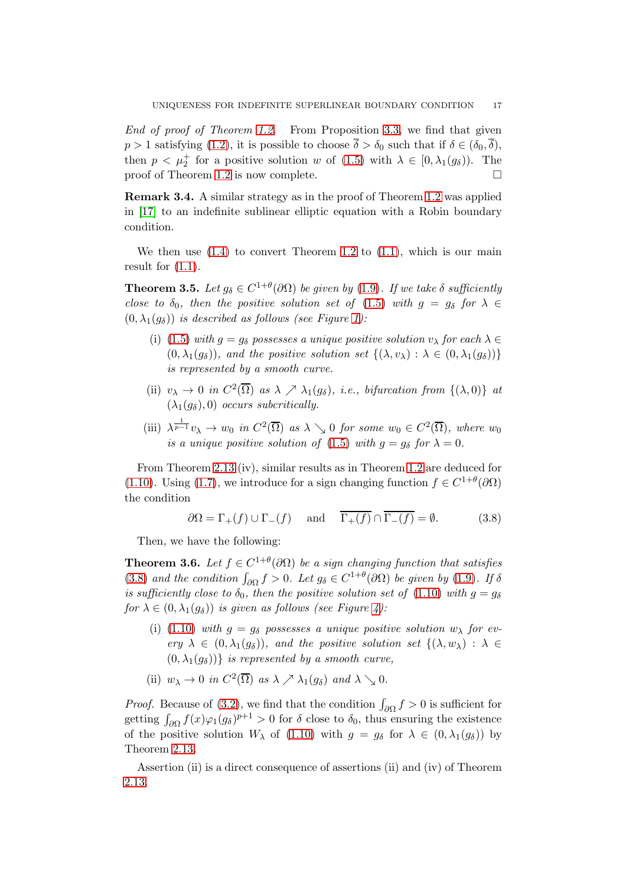End of proof of Theorem [1.2.](#page-3-1) From Proposition [3.3,](#page-15-0) we find that given  $p > 1$  satisfying [\(1.2\)](#page-0-1), it is possible to choose  $\overline{\delta} > \delta_0$  such that if  $\delta \in (\delta_0, \overline{\delta}),$ then  $p < \mu_2^+$  for a positive solution w of [\(1.5\)](#page-1-2) with  $\lambda \in [0, \lambda_1(g_\delta))$ . The proof of Theorem [1.2](#page-3-1) is now complete.  $\Box$ 

Remark 3.4. A similar strategy as in the proof of Theorem [1.2](#page-3-1) was applied in [\[17\]](#page-26-10) to an indefinite sublinear elliptic equation with a Robin boundary condition.

We then use  $(1.4)$  to convert Theorem [1.2](#page-3-1) to  $(1.1)$ , which is our main result for  $(1.1)$ .

<span id="page-16-0"></span>**Theorem 3.5.** Let  $g_{\delta} \in C^{1+\theta}(\partial \Omega)$  be given by [\(1.9\)](#page-2-1). If we take  $\delta$  sufficiently close to  $\delta_0$ , then the positive solution set of [\(1.5\)](#page-1-2) with  $g = g_\delta$  for  $\lambda \in$  $(0, \lambda_1(q_\delta))$  is described as follows (see Figure [1\)](#page-1-1):

- (i) [\(1.5\)](#page-1-2) with  $g = g_\delta$  possesses a unique positive solution  $v_\lambda$  for each  $\lambda \in$  $(0, \lambda_1(g_\delta))$ , and the positive solution set  $\{(\lambda, v_\lambda) : \lambda \in (0, \lambda_1(g_\delta))\}$ is represented by a smooth curve.
- (ii)  $v_{\lambda} \to 0$  in  $C^2(\overline{\Omega})$  as  $\lambda \nearrow \lambda_1(g_{\delta})$ , i.e., bifurcation from  $\{(\lambda, 0)\}\$ at  $(\lambda_1(g_\delta), 0)$  occurs subcritically.
- (iii)  $\lambda^{\frac{1}{p-1}}v_{\lambda} \to w_0$  in  $C^2(\overline{\Omega})$  as  $\lambda \searrow 0$  for some  $w_0 \in C^2(\overline{\Omega})$ , where  $w_0$ is a unique positive solution of [\(1.5\)](#page-1-2) with  $g = g_\delta$  for  $\lambda = 0$ .

From Theorem [2.13](#page-12-2) (iv), similar results as in Theorem [1.2](#page-3-1) are deduced for [\(1.10\)](#page-4-1). Using [\(1.7\)](#page-2-4), we introduce for a sign changing function  $f \in C^{1+\theta}(\partial\Omega)$ the condition

<span id="page-16-2"></span>
$$
\partial \Omega = \Gamma_{+}(f) \cup \Gamma_{-}(f) \quad \text{and} \quad \overline{\Gamma_{+}(f)} \cap \overline{\Gamma_{-}(f)} = \emptyset. \tag{3.8}
$$

Then, we have the following:

<span id="page-16-1"></span>**Theorem 3.6.** Let  $f \in C^{1+\theta}(\partial \Omega)$  be a sign changing function that satisfies [\(3.8\)](#page-16-2) and the condition  $\int_{\partial\Omega} f > 0$ . Let  $g_{\delta} \in C^{1+\theta}(\partial\Omega)$  be given by [\(1.9\)](#page-2-1). If  $\delta$ is sufficiently close to  $\delta_0$ , then the positive solution set of [\(1.10\)](#page-4-1) with  $g = g_\delta$ for  $\lambda \in (0, \lambda_1(g_\delta))$  is given as follows (see Figure [4\)](#page-17-2):

- (i) [\(1.10\)](#page-4-1) with  $q = q_{\delta}$  possesses a unique positive solution  $w_{\lambda}$  for every  $\lambda \in (0, \lambda_1(g_\delta))$ , and the positive solution set  $\{(\lambda, w_\lambda) : \lambda \in$  $(0, \lambda_1(q_\delta))$  is represented by a smooth curve,
- (ii)  $w_{\lambda} \to 0$  in  $C^2(\overline{\Omega})$  as  $\lambda \nearrow \lambda_1(g_{\delta})$  and  $\lambda \searrow 0$ .

*Proof.* Because of [\(3.2\)](#page-13-2), we find that the condition  $\int_{\partial\Omega} f > 0$  is sufficient for getting  $\int_{\partial\Omega} f(x)\varphi_1(g_\delta)^{p+1} > 0$  for  $\delta$  close to  $\delta_0$ , thus ensuring the existence of the positive solution  $W_{\lambda}$  of [\(1.10\)](#page-4-1) with  $g = g_{\delta}$  for  $\lambda \in (0, \lambda_1(g_{\delta}))$  by Theorem [2.13.](#page-12-2)

Assertion (ii) is a direct consequence of assertions (ii) and (iv) of Theorem [2.13.](#page-12-2)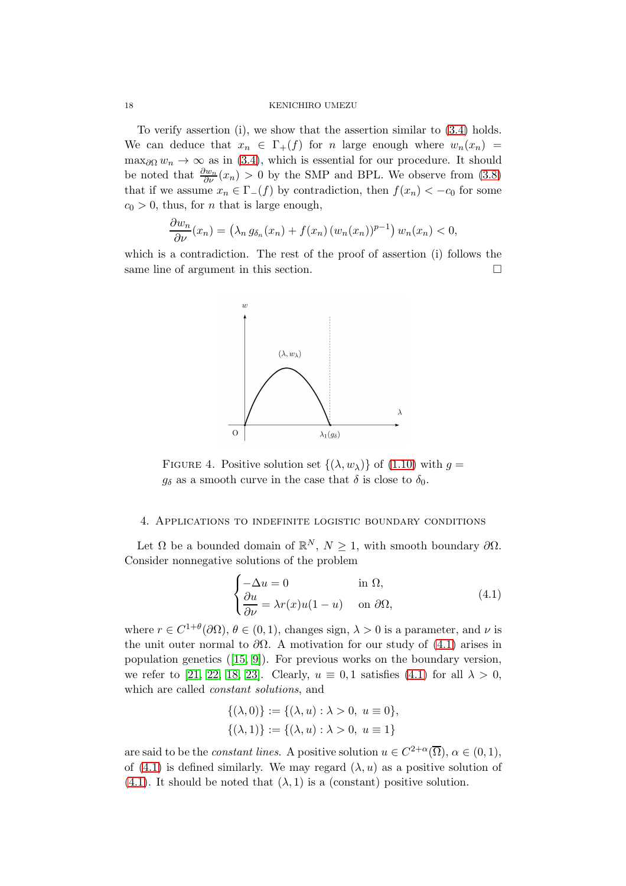To verify assertion (i), we show that the assertion similar to [\(3.4\)](#page-13-3) holds. We can deduce that  $x_n \in \Gamma_+(f)$  for n large enough where  $w_n(x_n)$  $\max_{\partial\Omega} w_n \to \infty$  as in [\(3.4\)](#page-13-3), which is essential for our procedure. It should be noted that  $\frac{\partial w_n}{\partial \nu}(x_n) > 0$  by the SMP and BPL. We observe from [\(3.8\)](#page-16-2) that if we assume  $x_n \in \Gamma_-(f)$  by contradiction, then  $f(x_n) < -c_0$  for some  $c_0 > 0$ , thus, for *n* that is large enough,

$$
\frac{\partial w_n}{\partial \nu}(x_n) = \left(\lambda_n g_{\delta_n}(x_n) + f(x_n) (w_n(x_n))^{p-1}\right) w_n(x_n) < 0,
$$

which is a contradiction. The rest of the proof of assertion (i) follows the same line of argument in this section.



<span id="page-17-2"></span>FIGURE 4. Positive solution set  $\{(\lambda, w_{\lambda})\}$  of  $(1.10)$  with  $g =$  $g_{\delta}$  as a smooth curve in the case that  $\delta$  is close to  $\delta_0$ .

### <span id="page-17-0"></span>4. Applications to indefinite logistic boundary conditions

Let  $\Omega$  be a bounded domain of  $\mathbb{R}^N$ ,  $N \geq 1$ , with smooth boundary  $\partial \Omega$ . Consider nonnegative solutions of the problem

<span id="page-17-1"></span>
$$
\begin{cases}\n-\Delta u = 0 & \text{in } \Omega, \\
\frac{\partial u}{\partial \nu} = \lambda r(x)u(1-u) & \text{on } \partial \Omega,\n\end{cases}
$$
\n(4.1)

where  $r \in C^{1+\theta}(\partial\Omega)$ ,  $\theta \in (0,1)$ , changes sign,  $\lambda > 0$  is a parameter, and  $\nu$  is the unit outer normal to  $\partial\Omega$ . A motivation for our study of [\(4.1\)](#page-17-1) arises in population genetics([\[15,](#page-25-11) [9\]](#page-25-7)). For previous works on the boundary version, we refer to [\[21,](#page-26-11) [22,](#page-26-12) [18,](#page-26-9) [23\]](#page-26-13). Clearly,  $u \equiv 0, 1$  satisfies [\(4.1\)](#page-17-1) for all  $\lambda > 0$ , which are called constant solutions, and

$$
\{(\lambda, 0)\} := \{(\lambda, u) : \lambda > 0, u \equiv 0\},\
$$

$$
\{(\lambda, 1)\} := \{(\lambda, u) : \lambda > 0, u \equiv 1\}
$$

are said to be the *constant lines*. A positive solution  $u \in C^{2+\alpha}(\overline{\Omega})$ ,  $\alpha \in (0,1)$ , of [\(4.1\)](#page-17-1) is defined similarly. We may regard  $(\lambda, u)$  as a positive solution of [\(4.1\)](#page-17-1). It should be noted that  $(\lambda, 1)$  is a (constant) positive solution.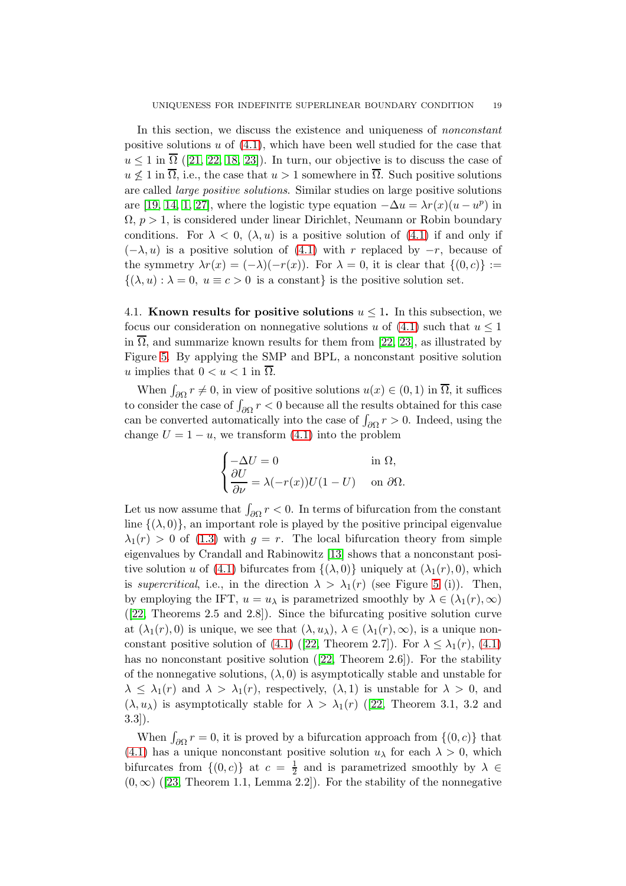In this section, we discuss the existence and uniqueness of nonconstant positive solutions u of  $(4.1)$ , which have been well studied for the case that  $u \leq 1$  $u \leq 1$  $u \leq 1$  in  $\Omega$  ([\[21,](#page-26-11) [22,](#page-26-12) [18,](#page-26-9) [23\]](#page-26-13)). In turn, our objective is to discuss the case of  $u \nleq 1$  in  $\overline{\Omega}$ , i.e., the case that  $u > 1$  somewhere in  $\overline{\Omega}$ . Such positive solutions are called large positive solutions. Similar studies on large positive solutions are [\[19,](#page-26-14) [14,](#page-25-12) [1,](#page-25-13) [27\]](#page-26-15), where the logistic type equation  $-\Delta u = \lambda r(x)(u - u^p)$  in  $\Omega$ ,  $p > 1$ , is considered under linear Dirichlet, Neumann or Robin boundary conditions. For  $\lambda < 0$ ,  $(\lambda, u)$  is a positive solution of  $(4.1)$  if and only if  $(-\lambda, u)$  is a positive solution of [\(4.1\)](#page-17-1) with r replaced by  $-r$ , because of the symmetry  $\lambda r(x) = (-\lambda)(-r(x))$ . For  $\lambda = 0$ , it is clear that  $\{(0, c)\} :=$  $\{(\lambda, u) : \lambda = 0, u \equiv c > 0 \text{ is a constant}\}\$ is the positive solution set.

4.1. Known results for positive solutions  $u \leq 1$ . In this subsection, we focus our consideration on nonnegative solutions u of  $(4.1)$  such that  $u \le 1$ in  $\overline{\Omega}$ , and summarize known results for them from [\[22,](#page-26-12) [23\]](#page-26-13), as illustrated by Figure [5.](#page-19-0) By applying the SMP and BPL, a nonconstant positive solution u implies that  $0 < u < 1$  in  $\Omega$ .

When  $\int_{\partial\Omega} r \neq 0$ , in view of positive solutions  $u(x) \in (0, 1)$  in  $\overline{\Omega}$ , it suffices to consider the case of  $\int_{\partial\Omega} r < 0$  because all the results obtained for this case can be converted automatically into the case of  $\int_{\partial\Omega} r > 0$ . Indeed, using the change  $U = 1 - u$ , we transform [\(4.1\)](#page-17-1) into the problem

$$
\begin{cases}\n-\Delta U = 0 & \text{in } \Omega, \\
\frac{\partial U}{\partial \nu} = \lambda (-r(x))U(1-U) & \text{on } \partial \Omega.\n\end{cases}
$$

Let us now assume that  $\int_{\partial\Omega} r < 0$ . In terms of bifurcation from the constant line  $\{(\lambda, 0)\}\$ , an important role is played by the positive principal eigenvalue  $\lambda_1(r) > 0$  of [\(1.3\)](#page-1-0) with  $q = r$ . The local bifurcation theory from simple eigenvalues by Crandall and Rabinowitz [\[13\]](#page-25-14) shows that a nonconstant posi-tive solution u of [\(4.1\)](#page-17-1) bifurcates from  $\{(\lambda, 0)\}\$  uniquely at  $(\lambda_1(r), 0)$ , which is supercritical, i.e., in the direction  $\lambda > \lambda_1(r)$  (see Figure [5](#page-19-0) (i)). Then, by employing the IFT,  $u = u_\lambda$  is parametrized smoothly by  $\lambda \in (\lambda_1(r), \infty)$ ([\[22,](#page-26-12) Theorems 2.5 and 2.8]). Since the bifurcating positive solution curve at  $(\lambda_1(r), 0)$  is unique, we see that  $(\lambda, u_\lambda), \lambda \in (\lambda_1(r), \infty)$ , is a unique non-constant positive solution of [\(4.1\)](#page-17-1)([\[22,](#page-26-12) Theorem 2.7]). For  $\lambda \leq \lambda_1(r)$ , (4.1) hasno nonconstant positive solution ([\[22,](#page-26-12) Theorem 2.6]). For the stability of the nonnegative solutions,  $(\lambda, 0)$  is asymptotically stable and unstable for  $\lambda \leq \lambda_1(r)$  and  $\lambda > \lambda_1(r)$ , respectively,  $(\lambda, 1)$  is unstable for  $\lambda > 0$ , and  $(\lambda, u_\lambda)$  $(\lambda, u_\lambda)$  $(\lambda, u_\lambda)$  is asymptotically stable for  $\lambda > \lambda_1(r)$  ([\[22,](#page-26-12) Theorem 3.1, 3.2 and 3.3]).

When  $\int_{\partial\Omega} r = 0$ , it is proved by a bifurcation approach from  $\{(0, c)\}$  that [\(4.1\)](#page-17-1) has a unique nonconstant positive solution  $u_{\lambda}$  for each  $\lambda > 0$ , which bifurcates from  $\{(0, c)\}\$ at  $c = \frac{1}{2}$  $\frac{1}{2}$  and is parametrized smoothly by  $\lambda \in$  $(0, \infty)$  $(0, \infty)$  $(0, \infty)$  ([\[23,](#page-26-13) Theorem 1.1, Lemma 2.2]). For the stability of the nonnegative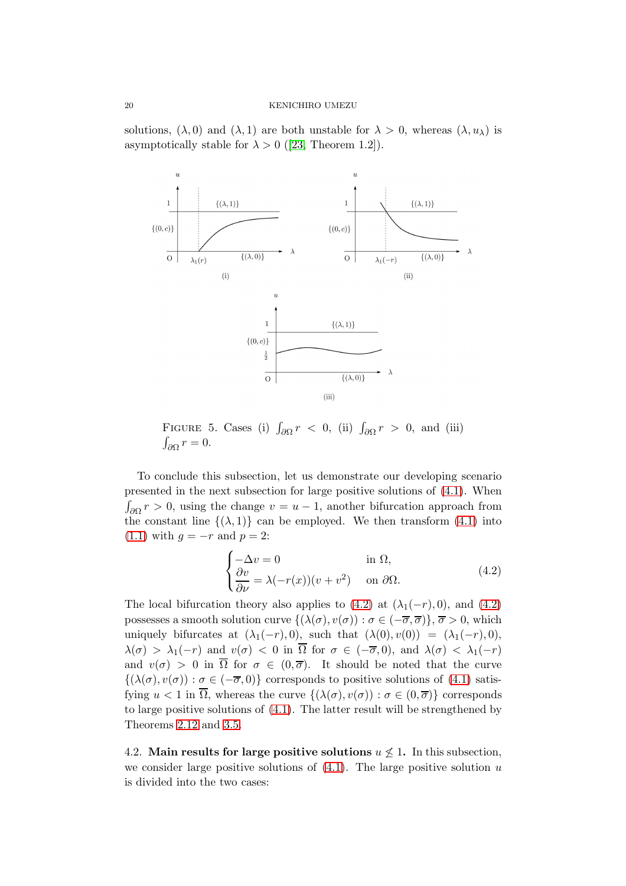solutions,  $(\lambda, 0)$  and  $(\lambda, 1)$  are both unstable for  $\lambda > 0$ , whereas  $(\lambda, u_\lambda)$  is asymptoticallystable for  $\lambda > 0$  ([\[23,](#page-26-13) Theorem 1.2]).



<span id="page-19-0"></span>FIGURE 5. Cases (i)  $\int_{\partial\Omega} r \, < \, 0$ , (ii)  $\int_{\partial\Omega} r \, > \, 0$ , and (iii)  $\int_{\partial\Omega} r = 0.$ 

To conclude this subsection, let us demonstrate our developing scenario presented in the next subsection for large positive solutions of [\(4.1\)](#page-17-1). When  $\int_{\partial\Omega} r > 0$ , using the change  $v = u - 1$ , another bifurcation approach from the constant line  $\{(\lambda, 1)\}$  can be employed. We then transform [\(4.1\)](#page-17-1) into [\(1.1\)](#page-0-0) with  $q = -r$  and  $p = 2$ :

<span id="page-19-1"></span>
$$
\begin{cases}\n-\Delta v = 0 & \text{in } \Omega, \\
\frac{\partial v}{\partial \nu} = \lambda(-r(x))(v + v^2) & \text{on } \partial \Omega.\n\end{cases}
$$
\n(4.2)

The local bifurcation theory also applies to  $(4.2)$  at  $(\lambda_1(-r), 0)$ , and  $(4.2)$ possesses a smooth solution curve  $\{(\lambda(\sigma), v(\sigma)) : \sigma \in (-\overline{\sigma}, \overline{\sigma})\}, \overline{\sigma} > 0$ , which uniquely bifurcates at  $(\lambda_1(-r), 0)$ , such that  $(\lambda(0), v(0)) = (\lambda_1(-r), 0)$ ,  $\lambda(\sigma) > \lambda_1(-r)$  and  $v(\sigma) < 0$  in  $\overline{\Omega}$  for  $\sigma \in (-\overline{\sigma}, 0)$ , and  $\lambda(\sigma) < \lambda_1(-r)$ and  $v(\sigma) > 0$  in  $\overline{\Omega}$  for  $\sigma \in (0,\overline{\sigma})$ . It should be noted that the curve  $\{(\lambda(\sigma), v(\sigma)) : \sigma \in (-\overline{\sigma}, 0)\}\)$  corresponds to positive solutions of [\(4.1\)](#page-17-1) satisfying  $u < 1$  in  $\overline{\Omega}$ , whereas the curve  $\{(\lambda(\sigma), v(\sigma)) : \sigma \in (0, \overline{\sigma})\}$  corresponds to large positive solutions of [\(4.1\)](#page-17-1). The latter result will be strengthened by Theorems [2.12](#page-11-0) and [3.5.](#page-16-0)

4.2. Main results for large positive solutions  $u \not\leq 1$ . In this subsection, we consider large positive solutions of  $(4.1)$ . The large positive solution u is divided into the two cases: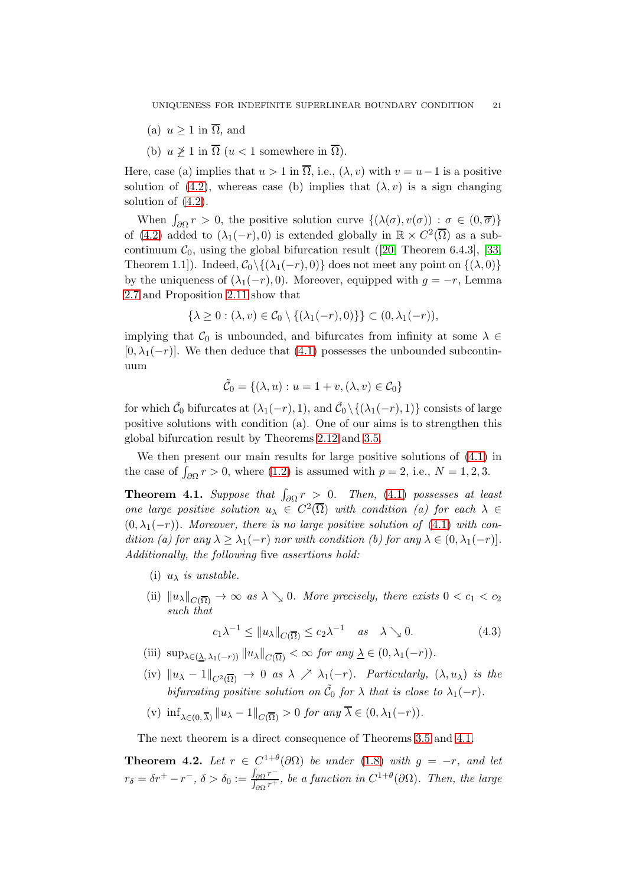- (a)  $u > 1$  in  $\overline{\Omega}$ , and
- (b)  $u \geq 1$  in  $\overline{\Omega}$  ( $u < 1$  somewhere in  $\overline{\Omega}$ ).

Here, case (a) implies that  $u > 1$  in  $\overline{\Omega}$ , i.e.,  $(\lambda, v)$  with  $v = u - 1$  is a positive solution of [\(4.2\)](#page-19-1), whereas case (b) implies that  $(\lambda, v)$  is a sign changing solution of [\(4.2\)](#page-19-1).

When  $\int_{\partial\Omega} r > 0$ , the positive solution curve  $\{(\lambda(\sigma), v(\sigma)) : \sigma \in (0, \overline{\sigma})\}$ of [\(4.2\)](#page-19-1) added to  $(\lambda_1(-r), 0)$  is extended globally in  $\mathbb{R} \times C^2(\overline{\Omega})$  as a sub-continuum $\mathcal{C}_0$ , using the global bifurcation result ([\[20,](#page-26-16) Theorem 6.4.3], [\[33,](#page-26-17) Theorem 1.1]). Indeed,  $C_0 \setminus \{(\lambda_1(-r), 0)\}\$ does not meet any point on  $\{(\lambda, 0)\}\$ by the uniqueness of  $(\lambda_1(-r), 0)$ . Moreover, equipped with  $g = -r$ , Lemma [2.7](#page-8-0) and Proposition [2.11](#page-11-1) show that

$$
\{\lambda \geq 0 : (\lambda, v) \in \mathcal{C}_0 \setminus \{(\lambda_1(-r), 0)\}\} \subset (0, \lambda_1(-r)),
$$

implying that  $\mathcal{C}_0$  is unbounded, and bifurcates from infinity at some  $\lambda \in$  $[0, \lambda_1(-r)]$ . We then deduce that [\(4.1\)](#page-17-1) possesses the unbounded subcontinuum

$$
\tilde{\mathcal{C}}_0 = \{ (\lambda, u) : u = 1 + v, (\lambda, v) \in \mathcal{C}_0 \}
$$

for which  $\tilde{C}_0$  bifurcates at  $(\lambda_1(-r), 1)$ , and  $\tilde{C}_0 \setminus \{(\lambda_1(-r), 1)\}$  consists of large positive solutions with condition (a). One of our aims is to strengthen this global bifurcation result by Theorems [2.12](#page-11-0) and [3.5.](#page-16-0)

We then present our main results for large positive solutions of [\(4.1\)](#page-17-1) in the case of  $\int_{\partial\Omega} r > 0$ , where [\(1.2\)](#page-0-1) is assumed with  $p = 2$ , i.e.,  $N = 1, 2, 3$ .

<span id="page-20-0"></span>**Theorem 4.1.** Suppose that  $\int_{\partial\Omega} r > 0$ . Then, [\(4.1\)](#page-17-1) possesses at least one large positive solution  $u_{\lambda} \in C^2(\overline{\Omega})$  with condition (a) for each  $\lambda \in$  $(0, \lambda_1(-r))$ . Moreover, there is no large positive solution of [\(4.1\)](#page-17-1) with condition (a) for any  $\lambda \geq \lambda_1(-r)$  nor with condition (b) for any  $\lambda \in (0, \lambda_1(-r))$ . Additionally, the following five assertions hold:

- (i)  $u_{\lambda}$  is unstable.
- (ii)  $||u_\lambda||_{C(\overline{\Omega})} \to \infty$  as  $\lambda \searrow 0$ . More precisely, there exists  $0 < c_1 < c_2$ such that

<span id="page-20-2"></span>
$$
c_1 \lambda^{-1} \le ||u_\lambda||_{C(\overline{\Omega})} \le c_2 \lambda^{-1} \quad \text{as} \quad \lambda \searrow 0. \tag{4.3}
$$

- (iii)  $\sup_{\lambda \in (\lambda, \lambda_1(-r))} ||u_\lambda||_{C(\overline{\Omega})} < \infty$  for any  $\underline{\lambda} \in (0, \lambda_1(-r)).$
- (iv)  $||u_{\lambda} 1||_{C^2(\overline{\Omega})} \rightarrow 0$  as  $\lambda \nearrow \lambda_1(-r)$ . Particularly,  $(\lambda, u_{\lambda})$  is the bifurcating positive solution on  $\tilde{C}_0$  for  $\lambda$  that is close to  $\lambda_1(-r)$ .
- (v)  $\inf_{\lambda \in (0, \overline{\lambda})} ||u_{\lambda} 1||_{C(\overline{\Omega})} > 0$  for any  $\lambda \in (0, \lambda_1(-r)).$

The next theorem is a direct consequence of Theorems [3.5](#page-16-0) and [4.1.](#page-20-0)

<span id="page-20-1"></span>**Theorem 4.2.** Let  $r \in C^{1+\theta}(\partial\Omega)$  be under [\(1.8\)](#page-2-0) with  $g = -r$ , and let  $r_{\delta} = \delta r^+ - r^-$ ,  $\delta > \delta_0 := \frac{\int_{\partial \Omega} r^-}{\int_{\Omega} r^+}$  $\frac{J_{\partial\Omega}r}{\int_{\partial\Omega}r^{+}}$ , be a function in  $C^{1+\theta}(\partial\Omega)$ . Then, the large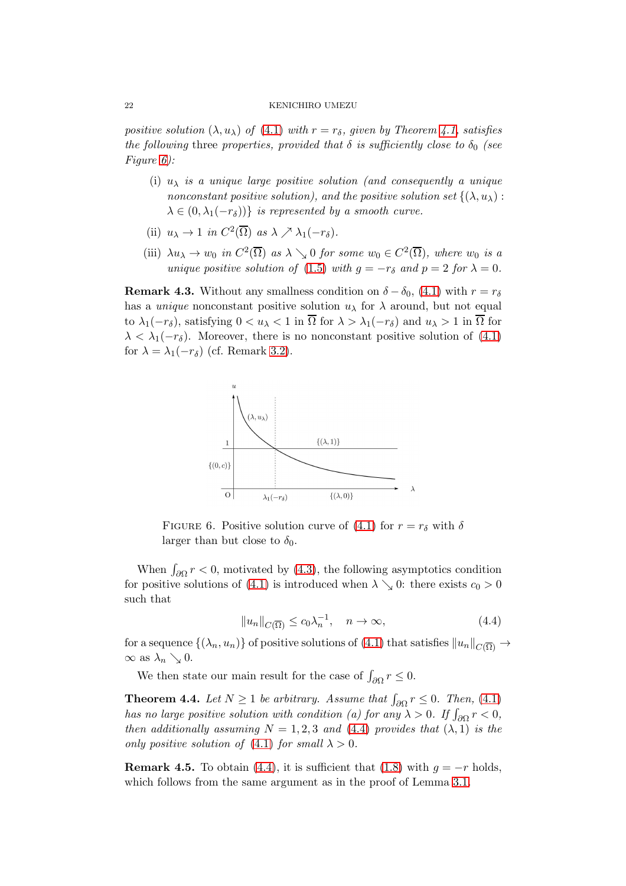positive solution  $(\lambda, u_\lambda)$  of  $(4.1)$  with  $r = r_\delta$ , given by Theorem [4.1,](#page-20-0) satisfies the following three properties, provided that  $\delta$  is sufficiently close to  $\delta_0$  (see Figure [6\)](#page-21-1):

- (i)  $u_{\lambda}$  is a unique large positive solution (and consequently a unique nonconstant positive solution), and the positive solution set  $\{(\lambda, u_{\lambda})\}$ :  $\lambda \in (0, \lambda_1(-r_\delta))$  is represented by a smooth curve.
- (ii)  $u_{\lambda} \to 1$  in  $C^2(\overline{\Omega})$  as  $\lambda \nearrow \lambda_1(-r_{\delta}).$
- (iii)  $\lambda u_{\lambda} \to w_0$  in  $C^2(\overline{\Omega})$  as  $\lambda \searrow 0$  for some  $w_0 \in C^2(\overline{\Omega})$ , where  $w_0$  is a unique positive solution of [\(1.5\)](#page-1-2) with  $q = -r_\delta$  and  $p = 2$  for  $\lambda = 0$ .

**Remark 4.3.** Without any smallness condition on  $\delta - \delta_0$ , [\(4.1\)](#page-17-1) with  $r = r_\delta$ has a *unique* nonconstant positive solution  $u_{\lambda}$  for  $\lambda$  around, but not equal to  $\lambda_1(-r_\delta)$ , satisfying  $0 < u_\lambda < 1$  in  $\overline{\Omega}$  for  $\lambda > \lambda_1(-r_\delta)$  and  $u_\lambda > 1$  in  $\overline{\Omega}$  for  $\lambda < \lambda_1(-r_\delta)$ . Moreover, there is no nonconstant positive solution of [\(4.1\)](#page-17-1) for  $\lambda = \lambda_1(-r_\delta)$  (cf. Remark [3.2\)](#page-14-0).



<span id="page-21-1"></span>FIGURE 6. Positive solution curve of [\(4.1\)](#page-17-1) for  $r = r_\delta$  with  $\delta$ larger than but close to  $\delta_0$ .

When  $\int_{\partial\Omega} r < 0$ , motivated by [\(4.3\)](#page-20-2), the following asymptotics condition for positive solutions of [\(4.1\)](#page-17-1) is introduced when  $\lambda \searrow 0$ : there exists  $c_0 > 0$ such that

<span id="page-21-2"></span>
$$
||u_n||_{C(\overline{\Omega})} \le c_0 \lambda_n^{-1}, \quad n \to \infty,
$$
\n(4.4)

for a sequence  $\{(\lambda_n, u_n)\}\$  of positive solutions of [\(4.1\)](#page-17-1) that satisfies  $||u_n||_{C(\overline{Q})} \to$  $\infty$  as  $\lambda_n \searrow 0$ .

We then state our main result for the case of  $\int_{\partial\Omega} r \leq 0$ .

<span id="page-21-0"></span>**Theorem 4.4.** Let  $N \geq 1$  be arbitrary. Assume that  $\int_{\partial \Omega} r \leq 0$ . Then, [\(4.1\)](#page-17-1) has no large positive solution with condition (a) for any  $\lambda > 0$ . If  $\int_{\partial \Omega} r < 0$ , then additionally assuming  $N = 1, 2, 3$  and [\(4.4\)](#page-21-2) provides that  $(\lambda, 1)$  is the only positive solution of [\(4.1\)](#page-17-1) for small  $\lambda > 0$ .

**Remark 4.5.** To obtain [\(4.4\)](#page-21-2), it is sufficient that [\(1.8\)](#page-2-0) with  $q = -r$  holds, which follows from the same argument as in the proof of Lemma [3.1.](#page-13-0)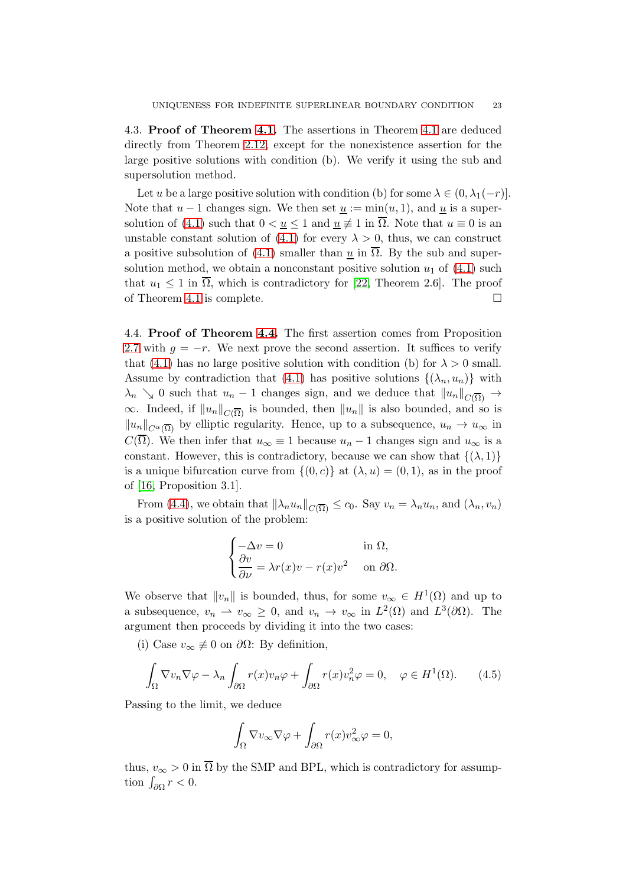4.3. Proof of Theorem [4.1.](#page-20-0) The assertions in Theorem [4.1](#page-20-0) are deduced directly from Theorem [2.12,](#page-11-0) except for the nonexistence assertion for the large positive solutions with condition (b). We verify it using the sub and supersolution method.

Let u be a large positive solution with condition (b) for some  $\lambda \in (0, \lambda_1(-r))$ . Note that  $u-1$  changes sign. We then set  $\underline{u} := \min(u, 1)$ , and  $\underline{u}$  is a super-solution of [\(4.1\)](#page-17-1) such that  $0 < u \leq 1$  and  $u \neq 1$  in  $\overline{\Omega}$ . Note that  $u \equiv 0$  is an unstable constant solution of [\(4.1\)](#page-17-1) for every  $\lambda > 0$ , thus, we can construct a positive subsolution of [\(4.1\)](#page-17-1) smaller than  $\underline{u}$  in  $\overline{\Omega}$ . By the sub and supersolution method, we obtain a nonconstant positive solution  $u_1$  of [\(4.1\)](#page-17-1) such that  $u_1 \leq 1$  in  $\overline{\Omega}$ , which is contradictory for [\[22,](#page-26-12) Theorem 2.6]. The proof of Theorem [4.1](#page-20-0) is complete.

4.4. Proof of Theorem [4.4.](#page-21-0) The first assertion comes from Proposition [2.7](#page-8-0) with  $q = -r$ . We next prove the second assertion. It suffices to verify that [\(4.1\)](#page-17-1) has no large positive solution with condition (b) for  $\lambda > 0$  small. Assume by contradiction that [\(4.1\)](#page-17-1) has positive solutions  $\{(\lambda_n, u_n)\}\$  with  $\lambda_n \searrow 0$  such that  $u_n - 1$  changes sign, and we deduce that  $||u_n||_{C(\overline{\Omega})} \rightarrow$  $\infty$ . Indeed, if  $||u_n||_{C(\overline{\Omega})}$  is bounded, then  $||u_n||$  is also bounded, and so is  $||u_n||_{C^{\alpha}(\overline{\Omega})}$  by elliptic regularity. Hence, up to a subsequence,  $u_n \to u_{\infty}$  in  $C(\Omega)$ . We then infer that  $u_{\infty} \equiv 1$  because  $u_n - 1$  changes sign and  $u_{\infty}$  is a constant. However, this is contradictory, because we can show that  $\{(\lambda, 1)\}$ is a unique bifurcation curve from  $\{(0, c)\}\$ at  $(\lambda, u) = (0, 1)$ , as in the proof of [\[16,](#page-25-15) Proposition 3.1].

From [\(4.4\)](#page-21-2), we obtain that  $\|\lambda_n u_n\|_{C(\overline{\Omega})} \leq c_0$ . Say  $v_n = \lambda_n u_n$ , and  $(\lambda_n, v_n)$ is a positive solution of the problem:

$$
\begin{cases}\n-\Delta v = 0 & \text{in } \Omega, \\
\frac{\partial v}{\partial \nu} = \lambda r(x)v - r(x)v^2 & \text{on } \partial \Omega.\n\end{cases}
$$

We observe that  $||v_n||$  is bounded, thus, for some  $v_{\infty} \in H^1(\Omega)$  and up to a subsequence,  $v_n \rightharpoonup v_\infty \geq 0$ , and  $v_n \rightharpoonup v_\infty$  in  $L^2(\Omega)$  and  $L^3(\partial\Omega)$ . The argument then proceeds by dividing it into the two cases:

(i) Case  $v_{\infty} \neq 0$  on  $\partial \Omega$ : By definition,

$$
\int_{\Omega} \nabla v_n \nabla \varphi - \lambda_n \int_{\partial \Omega} r(x) v_n \varphi + \int_{\partial \Omega} r(x) v_n^2 \varphi = 0, \quad \varphi \in H^1(\Omega). \tag{4.5}
$$

Passing to the limit, we deduce

<span id="page-22-0"></span>
$$
\int_{\Omega}\nabla v_{\infty}\nabla \varphi + \int_{\partial\Omega}r(x)v_{\infty}^2\varphi = 0,
$$

thus,  $v_{\infty} > 0$  in  $\overline{\Omega}$  by the SMP and BPL, which is contradictory for assumption  $\int_{\partial\Omega} r < 0$ .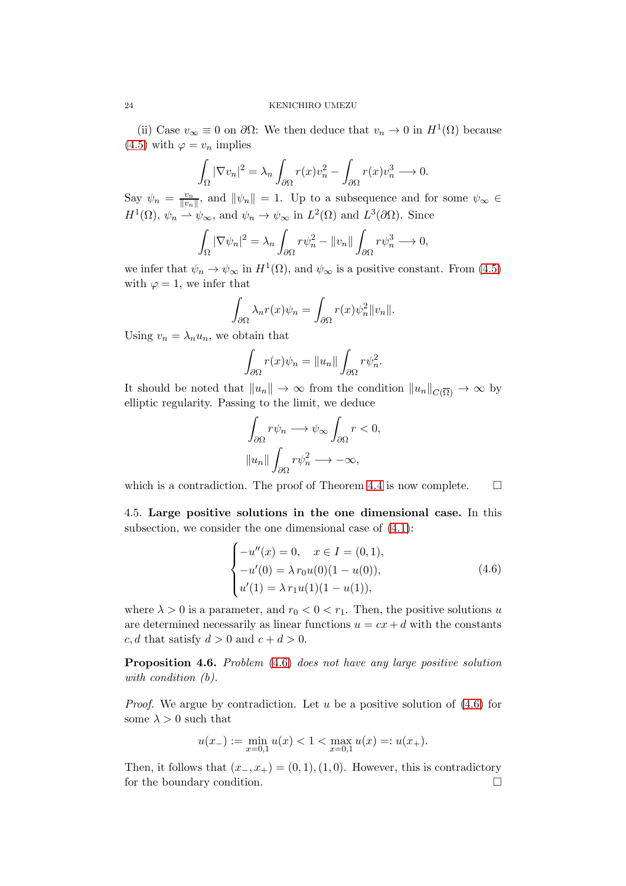(ii) Case  $v_{\infty} \equiv 0$  on  $\partial \Omega$ : We then deduce that  $v_n \to 0$  in  $H^1(\Omega)$  because [\(4.5\)](#page-22-0) with  $\varphi = v_n$  implies

$$
\int_{\Omega} |\nabla v_n|^2 = \lambda_n \int_{\partial \Omega} r(x) v_n^2 - \int_{\partial \Omega} r(x) v_n^3 \longrightarrow 0.
$$

Say  $\psi_n = \frac{v_n}{\|v_n\|}$  $\frac{v_n}{\|v_n\|}$ , and  $\|\psi_n\| = 1$ . Up to a subsequence and for some  $\psi_{\infty} \in$  $H^1(\Omega)$ ,  $\psi_n \rightharpoonup \psi_{\infty}$ , and  $\psi_n \to \psi_{\infty}$  in  $L^2(\Omega)$  and  $L^3(\partial\Omega)$ . Since

$$
\int_{\Omega} |\nabla \psi_n|^2 = \lambda_n \int_{\partial \Omega} r \psi_n^2 - ||v_n|| \int_{\partial \Omega} r \psi_n^3 \longrightarrow 0,
$$

we infer that  $\psi_n \to \psi_\infty$  in  $H^1(\Omega)$ , and  $\psi_\infty$  is a positive constant. From [\(4.5\)](#page-22-0) with  $\varphi = 1$ , we infer that

$$
\int_{\partial\Omega} \lambda_n r(x) \psi_n = \int_{\partial\Omega} r(x) \psi_n^2 ||v_n||.
$$

Using  $v_n = \lambda_n u_n$ , we obtain that

$$
\int_{\partial\Omega} r(x)\psi_n = \|u_n\| \int_{\partial\Omega} r\psi_n^2.
$$

It should be noted that  $||u_n|| \to \infty$  from the condition  $||u_n||_{C(\overline{\Omega})} \to \infty$  by elliptic regularity. Passing to the limit, we deduce

$$
\int_{\partial\Omega} r\psi_n \longrightarrow \psi_\infty \int_{\partial\Omega} r < 0,
$$
\n
$$
||u_n|| \int_{\partial\Omega} r\psi_n^2 \longrightarrow -\infty,
$$

<span id="page-23-0"></span>which is a contradiction. The proof of Theorem [4.4](#page-21-0) is now complete.  $\Box$ 

4.5. Large positive solutions in the one dimensional case. In this subsection, we consider the one dimensional case of [\(4.1\)](#page-17-1):

<span id="page-23-1"></span>
$$
\begin{cases}\n-u''(x) = 0, & x \in I = (0, 1), \\
-u'(0) = \lambda r_0 u(0)(1 - u(0)), \\
u'(1) = \lambda r_1 u(1)(1 - u(1)),\n\end{cases}
$$
\n(4.6)

where  $\lambda > 0$  is a parameter, and  $r_0 < 0 < r_1$ . Then, the positive solutions u are determined necessarily as linear functions  $u = cx + d$  with the constants c, d that satisfy  $d > 0$  and  $c + d > 0$ .

Proposition 4.6. Problem [\(4.6\)](#page-23-1) does not have any large positive solution with condition  $(b)$ .

*Proof.* We argue by contradiction. Let u be a positive solution of  $(4.6)$  for some  $\lambda > 0$  such that

$$
u(x_{-}) := \min_{x=0,1} u(x) < 1 < \max_{x=0,1} u(x) =: u(x_{+}).
$$

Then, it follows that  $(x_-, x_+) = (0, 1), (1, 0)$ . However, this is contradictory for the boundary condition.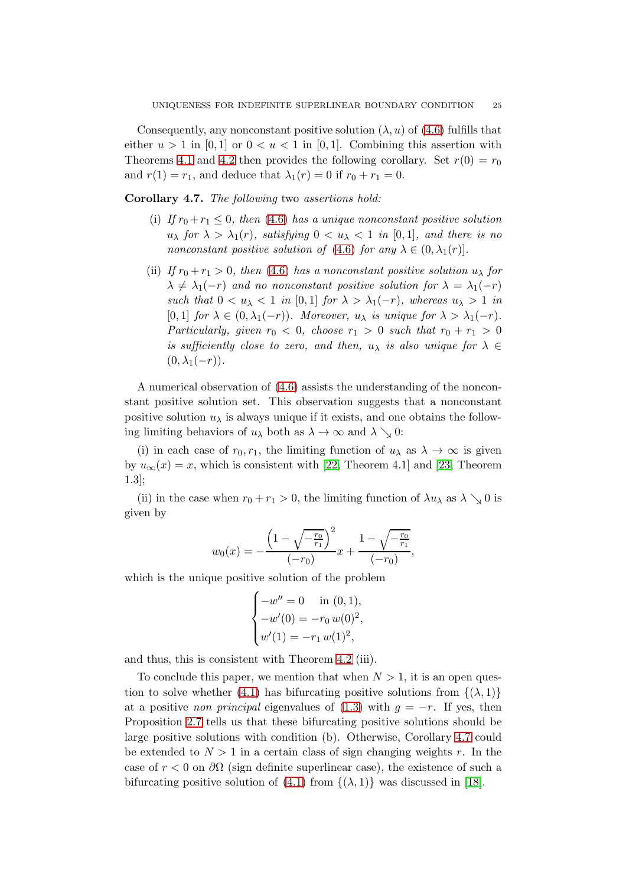Consequently, any nonconstant positive solution  $(\lambda, u)$  of  $(4.6)$  fulfills that either  $u > 1$  in [0, 1] or  $0 < u < 1$  in [0, 1]. Combining this assertion with Theorems [4.1](#page-20-0) and [4.2](#page-20-1) then provides the following corollary. Set  $r(0) = r_0$ and  $r(1) = r_1$ , and deduce that  $\lambda_1(r) = 0$  if  $r_0 + r_1 = 0$ .

<span id="page-24-0"></span>Corollary 4.7. The following two assertions hold:

- (i) If  $r_0 + r_1 \leq 0$ , then [\(4.6\)](#page-23-1) has a unique nonconstant positive solution  $u_{\lambda}$  for  $\lambda > \lambda_1(r)$ , satisfying  $0 < u_{\lambda} < 1$  in [0,1], and there is no nonconstant positive solution of [\(4.6\)](#page-23-1) for any  $\lambda \in (0, \lambda_1(r))$ .
- (ii) If  $r_0 + r_1 > 0$ , then [\(4.6\)](#page-23-1) has a nonconstant positive solution  $u_\lambda$  for  $\lambda \neq \lambda_1(-r)$  and no nonconstant positive solution for  $\lambda = \lambda_1(-r)$ such that  $0 < u_\lambda < 1$  in [0,1] for  $\lambda > \lambda_1(-r)$ , whereas  $u_\lambda > 1$  in [0, 1] for  $\lambda \in (0, \lambda_1(-r))$ . Moreover,  $u_\lambda$  is unique for  $\lambda > \lambda_1(-r)$ . Particularly, given  $r_0 < 0$ , choose  $r_1 > 0$  such that  $r_0 + r_1 > 0$ is sufficiently close to zero, and then,  $u_{\lambda}$  is also unique for  $\lambda \in$  $(0, \lambda_1(-r)).$

A numerical observation of [\(4.6\)](#page-23-1) assists the understanding of the nonconstant positive solution set. This observation suggests that a nonconstant positive solution  $u_{\lambda}$  is always unique if it exists, and one obtains the following limiting behaviors of  $u_{\lambda}$  both as  $\lambda \to \infty$  and  $\lambda \searrow 0$ :

(i) in each case of  $r_0, r_1$ , the limiting function of  $u_\lambda$  as  $\lambda \to \infty$  is given by  $u_{\infty}(x) = x$ , which is consistent with [\[22,](#page-26-12) Theorem 4.1] and [\[23,](#page-26-13) Theorem 1.3];

(ii) in the case when  $r_0 + r_1 > 0$ , the limiting function of  $\lambda u_\lambda$  as  $\lambda \searrow 0$  is given by

$$
w_0(x) = -\frac{\left(1 - \sqrt{\frac{-\frac{r_0}{r_1}}{r_1}}\right)^2}{(-r_0)}x + \frac{1 - \sqrt{\frac{-\frac{r_0}{r_1}}{r_1}}{(-r_0)}},
$$

which is the unique positive solution of the problem

$$
\begin{cases}\n-w'' = 0 & \text{in } (0,1), \\
-w'(0) = -r_0 w(0)^2, \\
w'(1) = -r_1 w(1)^2,\n\end{cases}
$$

and thus, this is consistent with Theorem [4.2](#page-20-1) (iii).

To conclude this paper, we mention that when  $N > 1$ , it is an open ques-tion to solve whether [\(4.1\)](#page-17-1) has bifurcating positive solutions from  $\{(\lambda, 1)\}$ at a positive *non principal* eigenvalues of  $(1.3)$  with  $q = -r$ . If yes, then Proposition [2.7](#page-8-0) tells us that these bifurcating positive solutions should be large positive solutions with condition (b). Otherwise, Corollary [4.7](#page-24-0) could be extended to  $N > 1$  in a certain class of sign changing weights r. In the case of  $r < 0$  on  $\partial\Omega$  (sign definite superlinear case), the existence of such a bifurcating positive solution of [\(4.1\)](#page-17-1) from  $\{(\lambda, 1)\}\$  was discussed in [\[18\]](#page-26-9).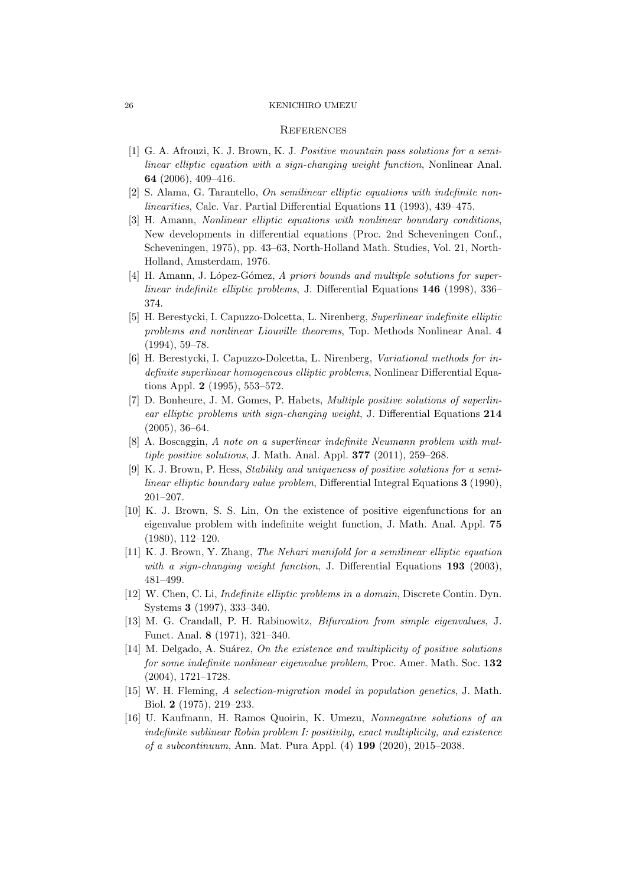#### **REFERENCES**

- <span id="page-25-13"></span>[1] G. A. Afrouzi, K. J. Brown, K. J. Positive mountain pass solutions for a semilinear elliptic equation with a sign-changing weight function, Nonlinear Anal. 64 (2006), 409–416.
- <span id="page-25-10"></span><span id="page-25-0"></span>[2] S. Alama, G. Tarantello, *On semilinear elliptic equations with indefinite non*linearities, Calc. Var. Partial Differential Equations 11 (1993), 439–475.
- [3] H. Amann, Nonlinear elliptic equations with nonlinear boundary conditions, New developments in differential equations (Proc. 2nd Scheveningen Conf., Scheveningen, 1975), pp. 43–63, North-Holland Math. Studies, Vol. 21, North-Holland, Amsterdam, 1976.
- <span id="page-25-1"></span>[4] H. Amann, J. López-Gómez, A priori bounds and multiple solutions for superlinear indefinite elliptic problems, J. Differential Equations 146 (1998), 336– 374.
- <span id="page-25-2"></span>[5] H. Berestycki, I. Capuzzo-Dolcetta, L. Nirenberg, Superlinear indefinite elliptic problems and nonlinear Liouville theorems, Top. Methods Nonlinear Anal. 4 (1994), 59–78.
- <span id="page-25-3"></span>[6] H. Berestycki, I. Capuzzo-Dolcetta, L. Nirenberg, Variational methods for indefinite superlinear homogeneous elliptic problems, Nonlinear Differential Equations Appl. 2 (1995), 553–572.
- <span id="page-25-6"></span>[7] D. Bonheure, J. M. Gomes, P. Habets, Multiple positive solutions of superlinear elliptic problems with sign-changing weight, J. Differential Equations 214 (2005), 36–64.
- <span id="page-25-5"></span>[8] A. Boscaggin, A note on a superlinear indefinite Neumann problem with multiple positive solutions, J. Math. Anal. Appl. 377 (2011), 259–268.
- <span id="page-25-7"></span>[9] K. J. Brown, P. Hess, Stability and uniqueness of positive solutions for a semilinear elliptic boundary value problem, Differential Integral Equations 3 (1990), 201–207.
- <span id="page-25-9"></span>[10] K. J. Brown, S. S. Lin, On the existence of positive eigenfunctions for an eigenvalue problem with indefinite weight function, J. Math. Anal. Appl. 75 (1980), 112–120.
- <span id="page-25-8"></span>[11] K. J. Brown, Y. Zhang, The Nehari manifold for a semilinear elliptic equation with a sign-changing weight function, J. Differential Equations 193 (2003), 481–499.
- <span id="page-25-4"></span>[12] W. Chen, C. Li, Indefinite elliptic problems in a domain, Discrete Contin. Dyn. Systems 3 (1997), 333–340.
- <span id="page-25-14"></span>[13] M. G. Crandall, P. H. Rabinowitz, Bifurcation from simple eigenvalues, J. Funct. Anal. 8 (1971), 321–340.
- <span id="page-25-12"></span> $[14]$  M. Delgado, A. Suárez, On the existence and multiplicity of positive solutions for some indefinite nonlinear eigenvalue problem, Proc. Amer. Math. Soc. 132 (2004), 1721–1728.
- <span id="page-25-11"></span>[15] W. H. Fleming, A selection-migration model in population genetics, J. Math. Biol. 2 (1975), 219–233.
- <span id="page-25-15"></span>[16] U. Kaufmann, H. Ramos Quoirin, K. Umezu, Nonnegative solutions of an indefinite sublinear Robin problem I: positivity, exact multiplicity, and existence of a subcontinuum, Ann. Mat. Pura Appl. (4) 199 (2020), 2015–2038.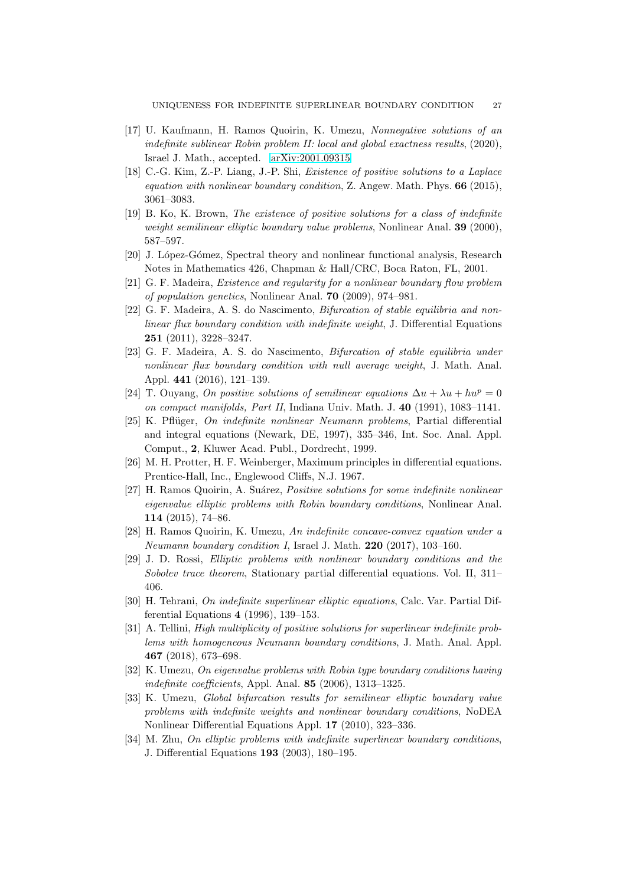- <span id="page-26-10"></span>[17] U. Kaufmann, H. Ramos Quoirin, K. Umezu, Nonnegative solutions of an indefinite sublinear Robin problem II: local and global exactness results, (2020), Israel J. Math., accepted. [arXiv:2001.09315](http://arxiv.org/abs/2001.09315)
- <span id="page-26-9"></span>[18] C.-G. Kim, Z.-P. Liang, J.-P. Shi, Existence of positive solutions to a Laplace equation with nonlinear boundary condition, Z. Angew. Math. Phys.  $66$  (2015), 3061–3083.
- <span id="page-26-14"></span>[19] B. Ko, K. Brown, The existence of positive solutions for a class of indefinite weight semilinear elliptic boundary value problems, Nonlinear Anal. 39 (2000), 587–597.
- <span id="page-26-16"></span><span id="page-26-11"></span>[20] J. López-Gómez, Spectral theory and nonlinear functional analysis, Research Notes in Mathematics 426, Chapman & Hall/CRC, Boca Raton, FL, 2001.
- <span id="page-26-12"></span>[21] G. F. Madeira, Existence and regularity for a nonlinear boundary flow problem of population genetics, Nonlinear Anal. 70 (2009), 974–981.
- [22] G. F. Madeira, A. S. do Nascimento, Bifurcation of stable equilibria and nonlinear flux boundary condition with indefinite weight, J. Differential Equations 251 (2011), 3228–3247.
- <span id="page-26-13"></span>[23] G. F. Madeira, A. S. do Nascimento, Bifurcation of stable equilibria under nonlinear flux boundary condition with null average weight, J. Math. Anal. Appl. 441 (2016), 121–139.
- <span id="page-26-5"></span>[24] T. Ouyang, On positive solutions of semilinear equations  $\Delta u + \lambda u + h u^p = 0$ on compact manifolds, Part II, Indiana Univ. Math. J. 40 (1991), 1083–1141.
- <span id="page-26-4"></span>[25] K. Pflüger, On indefinite nonlinear Neumann problems, Partial differential and integral equations (Newark, DE, 1997), 335–346, Int. Soc. Anal. Appl. Comput., 2, Kluwer Acad. Publ., Dordrecht, 1999.
- <span id="page-26-15"></span><span id="page-26-0"></span>[26] M. H. Protter, H. F. Weinberger, Maximum principles in differential equations. Prentice-Hall, Inc., Englewood Cliffs, N.J. 1967.
- [27] H. Ramos Quoirin, A. Suárez, *Positive solutions for some indefinite nonlinear* eigenvalue elliptic problems with Robin boundary conditions, Nonlinear Anal. 114 (2015), 74–86.
- <span id="page-26-8"></span>[28] H. Ramos Quoirin, K. Umezu, An indefinite concave-convex equation under a Neumann boundary condition I, Israel J. Math. 220 (2017), 103–160.
- <span id="page-26-3"></span>[29] J. D. Rossi, Elliptic problems with nonlinear boundary conditions and the Sobolev trace theorem, Stationary partial differential equations. Vol. II, 311– 406.
- <span id="page-26-6"></span>[30] H. Tehrani, On indefinite superlinear elliptic equations, Calc. Var. Partial Differential Equations 4 (1996), 139–153.
- <span id="page-26-7"></span>[31] A. Tellini, *High multiplicity of positive solutions for superlinear indefinite prob*lems with homogeneous Neumann boundary conditions, J. Math. Anal. Appl. 467 (2018), 673–698.
- <span id="page-26-1"></span>[32] K. Umezu, On eigenvalue problems with Robin type boundary conditions having indefinite coefficients, Appl. Anal. 85 (2006), 1313–1325.
- <span id="page-26-17"></span>[33] K. Umezu, Global bifurcation results for semilinear elliptic boundary value problems with indefinite weights and nonlinear boundary conditions, NoDEA Nonlinear Differential Equations Appl. 17 (2010), 323–336.
- <span id="page-26-2"></span>[34] M. Zhu, On elliptic problems with indefinite superlinear boundary conditions, J. Differential Equations 193 (2003), 180–195.